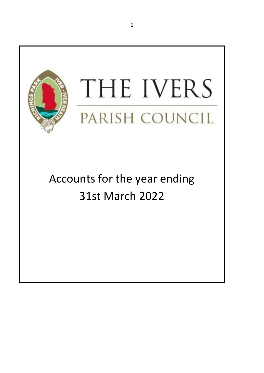

Accounts for the year ending 31st March 2022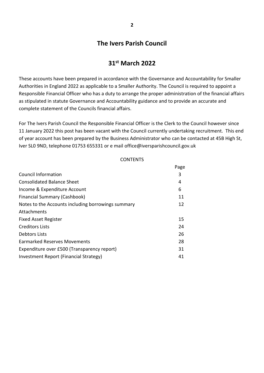## **The Ivers Parish Council**

## **31st March 2022**

These accounts have been prepared in accordance with the Governance and Accountability for Smaller Authorities in England 2022 as applicable to a Smaller Authority. The Council is required to appoint a Responsible Financial Officer who has a duty to arrange the proper administration of the financial affairs as stipulated in statute Governance and Accountability guidance and to provide an accurate and complete statement of the Councils financial affairs.

For The Ivers Parish Council the Responsible Financial Officer is the Clerk to the Council however since 11 January 2022 this post has been vacant with the Council currently undertaking recruitment. This end of year account has been prepared by the Business Administrator who can be contacted at 45B High St, Iver SL0 9ND, telephone 01753 655331 or e mail office@iversparishcouncil.gov.uk

#### **CONTENTS**

|                                                    | Page |
|----------------------------------------------------|------|
| Council Information                                | 3    |
| <b>Consolidated Balance Sheet</b>                  | 4    |
| Income & Expenditure Account                       | 6    |
| <b>Financial Summary (Cashbook)</b>                | 11   |
| Notes to the Accounts including borrowings summary | 12   |
| Attachments                                        |      |
| <b>Fixed Asset Register</b>                        | 15   |
| <b>Creditors Lists</b>                             | 24   |
| Debtors Lists                                      | 26   |
| <b>Earmarked Reserves Movements</b>                | 28   |
| Expenditure over £500 (Transparency report)        | 31   |
| <b>Investment Report (Financial Strategy)</b>      | 41   |
|                                                    |      |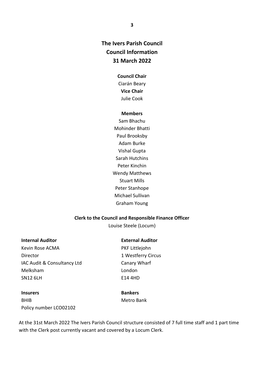## **The Ivers Parish Council Council Information 31 March 2022**

### **Council Chair**

Ciarán Beary **Vice Chair** Julie Cook

#### **Members**

Sam Bhachu Mohinder Bhatti Paul Brooksby Adam Burke Vishal Gupta Sarah Hutchins Peter Kinchin Wendy Matthews Stuart Mills Peter Stanhope Michael Sullivan Graham Young

### **Clerk to the Council and Responsible Finance Officer**

Louise Steele (Locum)

## **Internal Auditor**

Kevin Rose ACMA Director IAC Audit & Consultancy Ltd Melksham SN12 6LH

**External Auditor**

PKF Littlejohn 1 Westferry Circus Canary Wharf London E14 4HD

**Insurers** BHIB Policy number LCO02102 **Bankers** Metro Bank

At the 31st March 2022 The Ivers Parish Council structure consisted of 7 full time staff and 1 part time with the Clerk post currently vacant and covered by a Locum Clerk.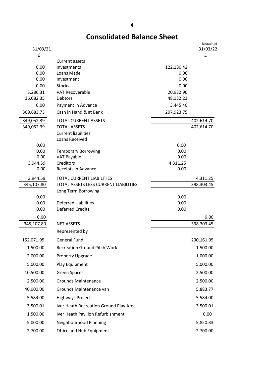## **Consolidated Balance Sheet**

| 31/03/21              |                                         |                        | Unaudited<br>31/03/22 |
|-----------------------|-----------------------------------------|------------------------|-----------------------|
| £                     |                                         |                        | £                     |
|                       | Current assets                          |                        |                       |
| 0.00                  | Investments                             | 122,180.42             |                       |
| 0.00                  | Loans Made                              | 0.00                   |                       |
| 0.00                  | Investment                              | 0.00                   |                       |
| 0.00                  | <b>Stocks</b><br><b>VAT Recoverable</b> | 0.00                   |                       |
| 3,286.31<br>36,082.35 | Debtors                                 | 20,932.90<br>48,132.23 |                       |
| 0.00                  | Payment in Advance                      | 3,445.40               |                       |
| 309,683.73            | Cash in Hand & at Bank                  | 207,923.75             |                       |
| 349,052.39            | <b>TOTAL CURRENT ASSETS</b>             |                        | 402,614.70            |
| 349,052.39            | <b>TOTAL ASSETS</b>                     |                        | 402,614.70            |
|                       | <b>Current liabilities</b>              |                        |                       |
|                       | Loans Received                          |                        |                       |
| 0.00                  |                                         | 0.00                   |                       |
| 0.00                  | <b>Temporary Borrowing</b>              | 0.00                   |                       |
| 0.00                  | <b>VAT Payable</b>                      | 0.00                   |                       |
| 3,944.59              | Creditors                               | 4,311.25               |                       |
| 0.00                  | Receipts in Advance                     | 0.00                   |                       |
| 3,944.59              | TOTAL CURRENT LIABILITIES               |                        | 4,311.25              |
| 345,107.80            | TOTAL ASSETS LESS CURRENT LIABILITIES   |                        | 398,303.45            |
|                       | Long Term Borrowing                     |                        |                       |
| 0.00<br>0.00          | <b>Deferred Liabilities</b>             | 0.00<br>0.00           |                       |
| 0.00                  | <b>Deferred Credits</b>                 | 0.00                   |                       |
| 0.00                  |                                         |                        | 0.00                  |
| 345,107.80            | <b>NET ASSETS</b>                       |                        | 398,303.45            |
|                       |                                         |                        |                       |
|                       | Represented by                          |                        |                       |
| 152,071.95            | <b>General Fund</b>                     |                        | 230,161.05            |
| 1,500.00              | <b>Recreation Ground Pitch Work</b>     |                        | 1,500.00              |
| 2,000.00              | Property Upgrade                        |                        | 1,000.00              |
| 5,000.00              | Play Equipment                          |                        | 5,000.00              |
| 10,500.00             | <b>Green Spaces</b>                     |                        | 2,500.00              |
| 2,500.00              | <b>Grounds Maintenance</b>              |                        | 2,500.00              |
| 40,000.00             | Grounds Maintenance van                 |                        | 5,883.77              |
| 5,584.00              | <b>Highways Project</b>                 |                        | 5,584.00              |
| 3,500.01              | Iver Heath Recreation Ground Play Area  |                        | 3,500.01              |
| 1,500.00              | Iver Heath Pavilion Refurbishment       |                        | 0.00                  |
| 5,000.00              | Neighbourhood Planning                  |                        | 5,820.83              |
| 2,700.00              | Office and Hub Equipment                |                        | 2,700.00              |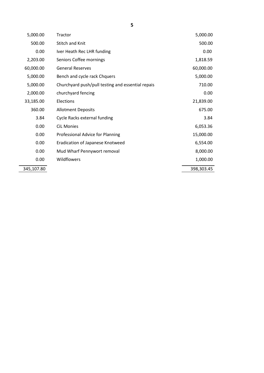| 5,000.00   | Tractor                                           | 5,000.00   |
|------------|---------------------------------------------------|------------|
| 500.00     | <b>Stitch and Knit</b>                            | 500.00     |
| 0.00       | Iver Heath Rec LHR funding                        | 0.00       |
| 2,203.00   | Seniors Coffee mornings                           | 1,818.59   |
| 60,000.00  | <b>General Reserves</b>                           | 60,000.00  |
| 5,000.00   | Bench and cycle rack Chquers                      | 5,000.00   |
| 5,000.00   | Churchyard push/pull testing and essential repais | 710.00     |
| 2,000.00   | churchyard fencing                                | 0.00       |
| 33,185.00  | Elections                                         | 21,839.00  |
| 360.00     | <b>Allotment Deposits</b>                         | 675.00     |
| 3.84       | Cycle Racks external funding                      | 3.84       |
| 0.00       | <b>CiL Monies</b>                                 | 6,053.36   |
| 0.00       | Professional Advice for Planning                  | 15,000.00  |
| 0.00       | Eradication of Japanese Knotweed                  | 6,554.00   |
| 0.00       | Mud Wharf Pennywort removal                       | 8,000.00   |
| 0.00       | Wildflowers                                       | 1,000.00   |
| 345,107.80 |                                                   | 398,303.45 |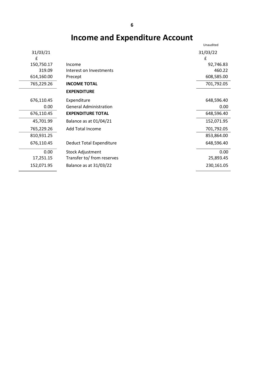# **Income and Expenditure Account**

|            |                               | Unaudited  |
|------------|-------------------------------|------------|
| 31/03/21   |                               | 31/03/22   |
| £          |                               | £          |
| 150,750.17 | Income                        | 92,746.83  |
| 319.09     | Interest on Investments       | 460.22     |
| 614,160.00 | Precept                       | 608,585.00 |
| 765,229.26 | <b>INCOME TOTAL</b>           | 701,792.05 |
|            | <b>EXPENDITURE</b>            |            |
| 676,110.45 | Expenditure                   | 648,596.40 |
| 0.00       | <b>General Administration</b> | 0.00       |
| 676,110.45 | <b>EXPENDITURE TOTAL</b>      | 648,596.40 |
| 45,701.99  | Balance as at 01/04/21        | 152,071.95 |
| 765,229.26 | <b>Add Total Income</b>       | 701,792.05 |
| 810,931.25 |                               | 853,864.00 |
| 676,110.45 | Deduct Total Expenditure      | 648,596.40 |
| 0.00       | <b>Stock Adjustment</b>       | 0.00       |
| 17,251.15  | Transfer to/ from reserves    | 25,893.45  |
| 152,071.95 | Balance as at 31/03/22        | 230,161.05 |
|            |                               |            |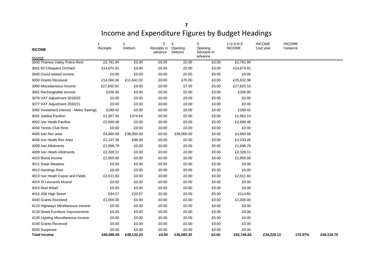# Income and Expenditure Figures by Budget Headings

| <b>INCOME</b><br>Income                  | $\overline{1}$<br>Receipts | $\overline{2}$<br>Debtors | 3<br>Receipts in<br>advance | $\overline{4}$<br>Opening<br>Debtors | 5<br>Opening<br>Receipts in<br>advance | $1+2-3-4+5$<br><b>INCOME</b> | <b>INCOME</b><br>Last year | <b>INCOME</b><br>Variance |            |
|------------------------------------------|----------------------------|---------------------------|-----------------------------|--------------------------------------|----------------------------------------|------------------------------|----------------------------|---------------------------|------------|
| 3000 Thames Valley Police Rent           | £2,791.84                  | £0.00                     | £0.00                       | $\overline{E}0.00$                   | £0.00                                  | £2,791.84                    |                            |                           |            |
| 3001 63 Chequers Orchard                 | £14,674.91                 | £0.00                     | £0.00                       | £0.00                                | £0.00                                  | £14,674.91                   |                            |                           |            |
| 3040 Covid related income                | £0.00                      | £0.00                     | £0.00                       | £0.00                                | £0.00                                  | £0.00                        |                            |                           |            |
| 3050 Grants Received                     | £14,066.36                 | £11,641.02                | £0.00                       | £75.00                               | £0.00                                  | £25,632.38                   |                            |                           |            |
| 3060 Miscellaneous Income                | £27,832.50                 | £0.00                     | £0.00                       | £7.35                                | £0.00                                  | £27,825.15                   |                            |                           |            |
| 3061 Rechargeable Income                 | £200.00                    | £0.00                     | £0.00                       | £0.00                                | £0.00                                  | £200.00                      |                            |                           |            |
| 3076 VAT Adjustment 2019/20              | £0.00                      | £0.00                     | £0.00                       | £0.00                                | £0.00                                  | £0.00                        |                            |                           |            |
| 3077 VAT Adjustment 2020/21              | £0.00                      | £0.00                     | £0.00                       | £0.00                                | £0.00                                  | £0.00                        |                            |                           |            |
| 3082 Investment Interest - Metro Savings | £180.42                    | £0.00                     | £0.00                       | £0.00                                | £0.00                                  | £180.42                      |                            |                           |            |
| 4001 Jubilee Pavilion                    | £1,587.50                  | £374.64                   | £0.00                       | £0.00                                | £0.00                                  | £1,962.14                    |                            |                           |            |
| 4002 Iver Heath Pavilion                 | £2,699.48                  | £0.00                     | £0.00                       | £0.00                                | £0.00                                  | £2,699.48                    |                            |                           |            |
| 4004 Tennis Club Rent                    | £0.00                      | £0.00                     | £0.00                       | £0.00                                | £0.00                                  | £0.00                        |                            |                           |            |
| 4005 Iver Rec area                       | £4,940.68                  | £36,000.00                | £0.00                       | £36,000.00                           | £0.00                                  | £4,940.68                    |                            |                           |            |
| 4006 Iver Heath Rec Area                 | £2,137.26                  | £96.00                    | £0.00                       | £0.00                                | £0.00                                  | £2,233.26                    |                            |                           |            |
| 4008 Iver Allotments                     | £1,696.79                  | £0.00                     | £0.00                       | £0.00                                | £0.00                                  | £1,696.79                    |                            |                           |            |
| 4009 Iver Heath Allotments               | £2,328.11                  | £0.00                     | £0.00                       | £0.00                                | £0.00                                  | £2,328.11                    |                            |                           |            |
| 4010 Burial Income                       | £1,955.00                  | £0.00                     | £0.00                       | £0.00                                | £0.00                                  | £1,955.00                    |                            |                           |            |
| 4011 Swan Meadow                         | £0.00                      | £0.00                     | £0.00                       | £0.00                                | £0.00                                  | £0.00                        |                            |                           |            |
| 4012 Hardings Row                        | £0.00                      | £0.00                     | £0.00                       | £0.00                                | £0.00                                  | £0.00                        |                            |                           |            |
| 4013 Iver Heath Copse and Fields         | £2,511.83                  | £0.00                     | £0.00                       | £0.00                                | £0.00                                  | £2,511.83                    |                            |                           |            |
| 4014 St Leonards Mound                   | £0.00                      | £0.00                     | £0.00                       | £0.00                                | £0.00                                  | £0.00                        |                            |                           |            |
| 4015 Mud Wharf                           | £0.00                      | £0.00                     | £0.00                       | £0.00                                | £0.00                                  | £0.00                        |                            |                           |            |
| 4016 45B High Street                     | £94.27                     | £20.57                    | £0.00                       | £0.00                                | £0.00                                  | £114.84                      |                            |                           |            |
| 4040 Grants Received                     | £1,000.00                  | £0.00                     | £0.00                       | £0.00                                | £0.00                                  | £1,000.00                    |                            |                           |            |
| 4110 Highways Micellaneous Income        | £0.00                      | £0.00                     | £0.00                       | £0.00                                | £0.00                                  | £0.00                        |                            |                           |            |
| 4120 Street Furniture Improvements       | £0.00                      | £0.00                     | £0.00                       | £0.00                                | £0.00                                  | £0.00                        |                            |                           |            |
| 4130 Lighting Miscellaneous Income       | £0.00                      | £0.00                     | £0.00                       | £0.00                                | £0.00                                  | £0.00                        |                            |                           |            |
| 4140 Grants Received                     | £0.00                      | £0.00                     | £0.00                       | £0.00                                | £0.00                                  | £0.00                        |                            |                           |            |
| 5000 Suspense<br><b>Total Income</b>     | £0.00<br>£80,696.95        | £0.00<br>£48,132.23       | £0.00<br>£0.00              | £0.00<br>£36,082.35                  | £0.00<br>£0.00                         | £0.00<br>£92,746.83          | £34,228.13                 | 170.97%                   | £58,518.70 |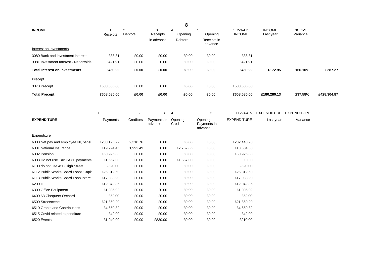|                                       |               |                         |                             | 8                                    |                                        |                              |                            |                           |             |
|---------------------------------------|---------------|-------------------------|-----------------------------|--------------------------------------|----------------------------------------|------------------------------|----------------------------|---------------------------|-------------|
| <b>INCOME</b>                         | 1<br>Receipts | 2<br>Debtors            | 3<br>Receipts<br>in advance | $\overline{4}$<br>Opening<br>Debtors | 5<br>Opening<br>Receipts in<br>advance | $1+2-3-4+5$<br><b>INCOME</b> | <b>INCOME</b><br>Last year | <b>INCOME</b><br>Variance |             |
| Interest on Investments               |               |                         |                             |                                      |                                        |                              |                            |                           |             |
| 3080 Bank and investment interest     | £38.31        | £0.00                   | £0.00                       | £0.00                                | £0.00                                  | £38.31                       |                            |                           |             |
| 3081 Investment Interest - Nationwide | £421.91       | £0.00                   | £0.00                       | £0.00                                | £0.00                                  | £421.91                      |                            |                           |             |
| <b>Total Interest on Investments</b>  | £460.22       | £0.00                   | £0.00                       | £0.00                                | £0.00                                  | £460.22                      | £172.95                    | 166.10%                   | £287.27     |
| Precept                               |               |                         |                             |                                      |                                        |                              |                            |                           |             |
| 3070 Precept                          | £608,585.00   | £0.00                   | £0.00                       | £0.00                                | £0.00                                  | £608,585.00                  |                            |                           |             |
| <b>Total Precept</b>                  | £608,585.00   | £0.00                   | £0.00                       | £0.00                                | £0.00                                  | £608,585.00                  | £180,280.13                | 237.58%                   | £428,304.87 |
|                                       |               |                         |                             |                                      |                                        |                              |                            |                           |             |
|                                       | $\mathbf{1}$  | $\overline{\mathbf{c}}$ | 3                           | 4                                    | 5                                      | $1+2-3-4+5$                  | EXPENDITURE EXPENDITURE    |                           |             |
| <b>EXPENDITURE</b>                    | Payments      | Creditors               | Payments in<br>advance      | Opening<br>Creditors                 | Opening<br>Payments in<br>advance      | <b>EXPENDITURE</b>           | Last year                  | Variance                  |             |
| Expenditure                           |               |                         |                             |                                      |                                        |                              |                            |                           |             |
| 6000 Net pay and employee NI, pensi   | £200,125.22   | £2,318.76               | £0.00                       | £0.00                                | £0.00                                  | £202,443.98                  |                            |                           |             |
| 6001 National Insurance               | £19,294.45    | £1,992.49               | £0.00                       | £2,752.86                            | £0.00                                  | £18,534.08                   |                            |                           |             |
| 6002 Pension                          | £50,926.33    | £0.00                   | £0.00                       | £0.00                                | £0.00                                  | £50,926.33                   |                            |                           |             |
| 6003 Do not use Tax PAYE payments     | £1,557.00     | £0.00                   | £0.00                       | £1,557.00                            | £0.00                                  | £0.00                        |                            |                           |             |
| 6100 do not use 45B High Street       | $-£90.00$     | £0.00                   | £0.00                       | £0.00                                | £0.00                                  | $-£90.00$                    |                            |                           |             |
| 6112 Public Works Board Loans Capit   | £25,812.60    | £0.00                   | £0.00                       | £0.00                                | £0.00                                  | £25,812.60                   |                            |                           |             |
| 6113 Public Works Board Loan Intere   | £17,088.90    | £0.00                   | £0.00                       | £0.00                                | £0.00                                  | £17,088.90                   |                            |                           |             |
| 6200 IT                               | £12,042.36    | £0.00                   | £0.00                       | £0.00                                | £0.00                                  | £12,042.36                   |                            |                           |             |
| 6300 Office Equipment                 | £1,095.02     | £0.00                   | £0.00                       | £0.00                                | £0.00                                  | £1,095.02                    |                            |                           |             |
| 6400 63 Chequers Orchard              | $-£52.00$     | £0.00                   | £0.00                       | £0.00                                | £0.00                                  | $-£52.00$                    |                            |                           |             |
| 6500 Streetscene                      | £21,860.20    | £0.00                   | £0.00                       | £0.00                                | £0.00                                  | £21,860.20                   |                            |                           |             |
| 6510 Grants and Contributions         | £4,650.82     | £0.00                   | £0.00                       | £0.00                                | £0.00                                  | £4,650.82                    |                            |                           |             |
| 6515 Covid related expenditure        | £42.00        | £0.00                   | £0.00                       | £0.00                                | £0.00                                  | £42.00                       |                            |                           |             |
| 6520 Events                           | £1,040.00     | £0.00                   | £830.00                     | £0.00                                | £0.00                                  | £210.00                      |                            |                           |             |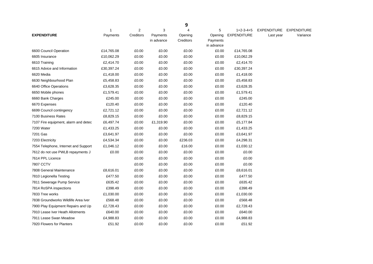|                                      |            |                |            | 9         |                     |                    |                    |                    |
|--------------------------------------|------------|----------------|------------|-----------|---------------------|--------------------|--------------------|--------------------|
|                                      | 1          | $\overline{2}$ | 3          | 4         | 5                   | $1+2-3-4+5$        | <b>EXPENDITURE</b> | <b>EXPENDITURE</b> |
| <b>EXPENDITURE</b>                   | Payments   | Creditors      | Payments   | Opening   | Opening             | <b>EXPENDITURE</b> | Last year          | Variance           |
|                                      |            |                | in advance | Creditors | Payments            |                    |                    |                    |
| 6600 Council Operation               | £14,765.08 | £0.00          | £0.00      | £0.00     | in advance<br>£0.00 | £14,765.08         |                    |                    |
| 6605 Insurance                       | £10,062.29 | £0.00          | £0.00      | £0.00     | £0.00               | £10,062.29         |                    |                    |
| 6610 Training                        | £2,414.70  | £0.00          | £0.00      | £0.00     | £0.00               | £2,414.70          |                    |                    |
| 6615 Advice and Information          | £30,397.24 | £0.00          | £0.00      | £0.00     | £0.00               | £30,397.24         |                    |                    |
| 6620 Media                           | £1,418.00  | £0.00          | £0.00      | £0.00     | £0.00               | £1,418.00          |                    |                    |
| 6630 Neighbourhood Plan              | £5,458.83  | £0.00          | £0.00      | £0.00     | £0.00               | £5,458.83          |                    |                    |
|                                      |            |                |            |           |                     |                    |                    |                    |
| 6640 Office Operations               | £3,628.35  | £0.00          | £0.00      | £0.00     | £0.00               | £3,628.35          |                    |                    |
| 6650 Mobile phones                   | £1,579.41  | £0.00          | £0.00      | £0.00     | £0.00               | £1,579.41          |                    |                    |
| 6660 Bank Charges                    | £245.00    | £0.00          | £0.00      | £0.00     | £0.00               | £245.00            |                    |                    |
| 6670 Expenses                        | £120.40    | £0.00          | £0.00      | £0.00     | £0.00               | £120.40            |                    |                    |
| 6699 Council contingency             | £2,721.12  | £0.00          | £0.00      | £0.00     | £0.00               | £2,721.12          |                    |                    |
| 7100 Business Rates                  | £8,829.15  | £0.00          | £0.00      | £0.00     | £0.00               | £8,829.15          |                    |                    |
| 7107 Fire equipment, alarm and detec | £6,497.74  | £0.00          | £1,319.90  | £0.00     | £0.00               | £5,177.84          |                    |                    |
| 7200 Water                           | £1,433.25  | £0.00          | £0.00      | £0.00     | £0.00               | £1,433.25          |                    |                    |
| 7201 Gas                             | £3,641.97  | £0.00          | £0.00      | £0.00     | £0.00               | £3,641.97          |                    |                    |
| 7203 Electricity                     | £4,534.34  | £0.00          | £0.00      | £236.03   | £0.00               | £4,298.31          |                    |                    |
| 7554 Telephone, Internet and Support | £1,046.12  | £0.00          | £0.00      | £16.00    | £0.00               | £1,030.12          |                    |                    |
| 7612 do not use PWLB repayments J    | £0.00      | £0.00          | £0.00      | £0.00     | £0.00               | £0.00              |                    |                    |
| 7614 PPL Licence                     |            | £0.00          | £0.00      | £0.00     | £0.00               | £0.00              |                    |                    |
| 7807 CCTV                            |            | £0.00          | £0.00      | £0.00     | £0.00               | £0.00              |                    |                    |
| 7808 General Maintenance             | £8,616.01  | £0.00          | £0.00      | £0.00     | £0.00               | £8,616.01          |                    |                    |
| 7810 Legionella Testing              | £477.50    | £0.00          | £0.00      | £0.00     | £0.00               | £477.50            |                    |                    |
| 7811 Sewerage Pump Service           | £635.42    | £0.00          | £0.00      | £0.00     | £0.00               | £635.42            |                    |                    |
| 7814 RoSPA inspections               | £398.49    | £0.00          | £0.00      | £0.00     | £0.00               | £398.49            |                    |                    |
| 7833 Tree works                      | £1,030.00  | £0.00          | £0.00      | £0.00     | £0.00               | £1,030.00          |                    |                    |
| 7838 Groundworks Wildlife Area Iver  | £568.48    | £0.00          | £0.00      | £0.00     | £0.00               | £568.48            |                    |                    |
| 7900 Play Equipment Repairs and Up   | £2,728.43  | £0.00          | £0.00      | £0.00     | £0.00               | £2,728.43          |                    |                    |
| 7910 Lease Iver Heath Allotments     | £640.00    | £0.00          | £0.00      | £0.00     | £0.00               | £640.00            |                    |                    |
| 7911 Lease Swan Meadow               | £4,988.83  | £0.00          | £0.00      | £0.00     | £0.00               | £4,988.83          |                    |                    |
| 7920 Flowers for Planters            | £51.92     | £0.00          | £0.00      | £0.00     | £0.00               | £51.92             |                    |                    |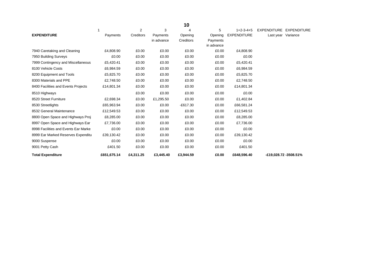|                                      |             |                |            | 10         |            |                    |                                   |
|--------------------------------------|-------------|----------------|------------|------------|------------|--------------------|-----------------------------------|
|                                      |             | $\overline{2}$ | 3          | Δ          | 5          | $1+2-3-4+5$        | <b>EXPENDITURE</b><br>EXPENDITURE |
| <b>EXPENDITURE</b>                   | Payments    | Creditors      | Payments   | Opening    | Opening    | <b>EXPENDITURE</b> | Last year Variance                |
|                                      |             |                | in advance | Creditors  | Payments   |                    |                                   |
|                                      |             |                |            |            | in advance |                    |                                   |
| 7940 Caretaking and Cleaning         | £4,808.90   | £0.00          | £0.00      | £0.00      | £0.00      | £4,808.90          |                                   |
| 7950 Building Surveys                | £0.00       | £0.00          | £0.00      | £0.00      | £0.00      | £0.00              |                                   |
| 7999 Contingency and Miscellaneous   | £5,420.41   | £0.00          | £0.00      | £0.00      | £0.00      | £5,420.41          |                                   |
| 8100 Vehicle Costs                   | £6,984.59   | £0.00          | £0.00      | £0.00      | £0.00      | £6,984.59          |                                   |
| 8200 Equipment and Tools             | £5,825.70   | £0.00          | £0.00      | £0.00      | £0.00      | £5,825.70          |                                   |
| 8300 Materials and PPE               | £2,748.50   | £0.00          | £0.00      | £0.00      | £0.00      | £2,748.50          |                                   |
| 8400 Facilities and Events Projects  | £14,801.34  | £0.00          | £0.00      | £0.00      | £0.00      | £14,801.34         |                                   |
| 8510 Highways                        |             | £0.00          | £0.00      | £0.00      | £0.00      | £0.00              |                                   |
| 8520 Street Furniture                | £2,698.34   | £0.00          | £1,295.50  | £0.00      | £0.00      | £1,402.84          |                                   |
| 8530 Streetlights                    | £65,963.94  | £0.00          | £0.00      | $-£617.30$ | £0.00      | £66,581.24         |                                   |
| 8532 General Maintenance             | £12,549.53  | £0.00          | £0.00      | £0.00      | £0.00      | £12,549.53         |                                   |
| 8800 Open Space and Highways Proj    | £8,285.00   | £0.00          | £0.00      | £0.00      | £0.00      | £8,285.00          |                                   |
| 8997 Open Space and Highways Ear     | £7,736.00   | £0.00          | £0.00      | £0.00      | £0.00      | £7,736.00          |                                   |
| 8998 Facilities and Events Ear Marke | £0.00       | £0.00          | £0.00      | £0.00      | £0.00      | £0.00              |                                   |
| 8999 Ear Marked Reserves Expenditu   | £39,130.42  | £0.00          | £0.00      | £0.00      | £0.00      | £39,130.42         |                                   |
| 9000 Suspense                        | £0.00       | £0.00          | £0.00      | £0.00      | £0.00      | £0.00              |                                   |
| 9001 Petty Cash                      | £401.50     | £0.00          | £0.00      | £0.00      | £0.00      | £401.50            |                                   |
| <b>Total Expenditure</b>             | £651,675.14 | £4,311.25      | £3,445.40  | £3,944.59  | £0.00      | £648,596.40        | -£19,028.72 -3508.51%             |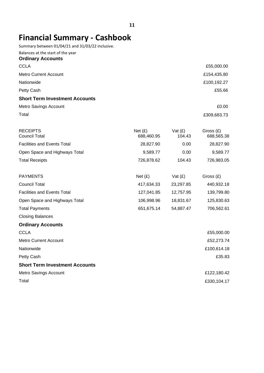## **Financial Summary - Cashbook**

Summary between 01/04/21 and 31/03/22 inclusive.

| Balances at the start of the year<br><b>Ordinary Accounts</b> |                         |                     |                           |
|---------------------------------------------------------------|-------------------------|---------------------|---------------------------|
| <b>CCLA</b>                                                   |                         |                     | £55,000.00                |
| <b>Metro Current Account</b>                                  |                         |                     | £154,435.80               |
| Nationwide                                                    |                         |                     | £100,192.27               |
| Petty Cash                                                    |                         |                     | £55.66                    |
| <b>Short Term Investment Accounts</b>                         |                         |                     |                           |
| Metro Savings Account                                         |                         |                     | £0.00                     |
| Total                                                         |                         |                     | £309,683.73               |
| <b>RECEIPTS</b><br><b>Council Total</b>                       | Net $(E)$<br>688,460.95 | Vat $(E)$<br>104.43 | Gross $(E)$<br>688,565.38 |
| <b>Facilities and Events Total</b>                            | 28,827.90               | 0.00                | 28,827.90                 |
| Open Space and Highways Total                                 | 9,589.77                | 0.00                | 9,589.77                  |
| <b>Total Receipts</b>                                         | 726,878.62              | 104.43              | 726,983.05                |
| <b>PAYMENTS</b>                                               | Net (E)                 | Vat $(E)$           | Gross $(E)$               |
| <b>Council Total</b>                                          | 417,634.33              | 23,297.85           | 440,932.18                |
| <b>Facilities and Events Total</b>                            | 127,041.85              | 12,757.95           | 139,799.80                |
| Open Space and Highways Total                                 | 106,998.96              | 18,831.67           | 125,830.63                |
| <b>Total Payments</b>                                         | 651,675.14              | 54,887.47           | 706,562.61                |
| <b>Closing Balances</b>                                       |                         |                     |                           |
| <b>Ordinary Accounts</b>                                      |                         |                     |                           |
| <b>CCLA</b>                                                   |                         |                     | £55,000.00                |
| <b>Metro Current Account</b>                                  |                         |                     | £52,273.74                |
| Nationwide                                                    |                         |                     | £100,614.18               |
| Petty Cash                                                    |                         |                     | £35.83                    |
| <b>Short Term Investment Accounts</b>                         |                         |                     |                           |
| <b>Metro Savings Account</b>                                  |                         |                     | £122,180.42               |
| Total                                                         |                         |                     | £330,104.17               |
|                                                               |                         |                     |                           |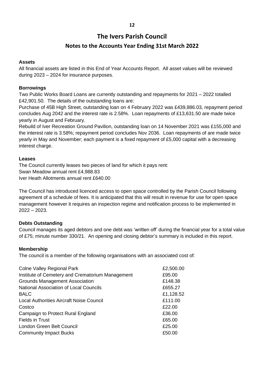## **The Ivers Parish Council**

## **Notes to the Accounts Year Ending 31st March 2022**

## **Assets**

All financial assets are listed in this End of Year Accounts Report. All asset values will be reviewed during 2023 – 2024 for insurance purposes.

## **Borrowings**

Two Public Works Board Loans are currently outstanding and repayments for 2021 – 2022 totalled £42,901.50. The details of the outstanding loans are:

Purchase of 45B High Street, outstanding loan on 4 February 2022 was £439,886.03, repayment period concludes Aug 2042 and the interest rate is 2.58%. Loan repayments of £13,631.50 are made twice yearly in August and February.

Rebuild of Iver Recreation Ground Pavilion, outstanding loan on 14 November 2021 was £155,000 and the interest rate is 3.58%; repayment period concludes Nov 2036. Loan repayments of are made twice yearly in May and November; each payment is a fixed repayment of £5,000 capital with a decreasing interest charge.

## **Leases**

The Council currently leases two pieces of land for which it pays rent: Swan Meadow annual rent £4,988.83 Iver Heath Allotments annual rent £640.00

The Council has introduced licenced access to open space controlled by the Parish Council following agreement of a schedule of fees. It is anticipated that this will result in revenue for use for open space management however it requires an inspection regime and notification process to be implemented in 2022 – 2023.

## **Debts Outstanding**

Council manages its aged debtors and one debt was 'written off' during the financial year for a total value of £75; minute number 330/21. An opening and closing debtor's summary is included in this report.

## **Membership**

The council is a member of the following organisations with an associated cost of:

| <b>Colne Valley Regional Park</b>                | £2,500.00 |
|--------------------------------------------------|-----------|
| Institute of Cemetery and Crematorium Management | £95.00    |
| <b>Grounds Management Association</b>            | £148.38   |
| <b>National Association of Local Councils</b>    | £655.27   |
| <b>BALC</b>                                      | £1,128.52 |
| Local Authorities Aircraft Noise Council         | £111.00   |
| Costco                                           | £22.00    |
| Campaign to Protect Rural England                | £36.00    |
| <b>Fields in Trust</b>                           | £65.00    |
| London Green Belt Council                        | £25.00    |
| <b>Community Impact Bucks</b>                    | £50.00    |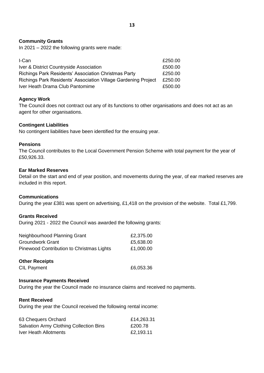### **Community Grants**

In 2021 – 2022 the following grants were made:

| I-Can                                                          | £250.00 |
|----------------------------------------------------------------|---------|
| Iver & District Countryside Association                        | £500.00 |
| Richings Park Residents' Association Christmas Party           | £250.00 |
| Richings Park Residents' Association Village Gardening Project | £250.00 |
| Iver Heath Drama Club Pantomime                                | £500.00 |

### **Agency Work**

The Council does not contract out any of its functions to other organisations and does not act as an agent for other organisations.

#### **Contingent Liabilities**

No contingent liabilities have been identified for the ensuing year.

#### **Pensions**

The Council contributes to the Local Government Pension Scheme with total payment for the year of £50,926.33.

#### **Ear Marked Reserves**

Detail on the start and end of year position, and movements during the year, of ear marked reserves are included in this report.

### **Communications**

During the year £381 was spent on advertising, £1,418 on the provision of the website. Total £1,799.

### **Grants Received**

During 2021 - 2022 the Council was awarded the following grants:

| Neighbourhood Planning Grant              | £2,375.00 |
|-------------------------------------------|-----------|
| Groundwork Grant                          | £5,638.00 |
| Pinewood Contribution to Christmas Lights | £1,000.00 |

#### **Other Receipts**

CIL Payment 6,053.36

#### **Insurance Payments Received**

During the year the Council made no insurance claims and received no payments.

#### **Rent Received**

During the year the Council received the following rental income:

| 63 Chequers Orchard                            | £14,263.31 |
|------------------------------------------------|------------|
| <b>Salvation Army Clothing Collection Bins</b> | £200.78    |
| Iver Heath Allotments                          | £2,193.11  |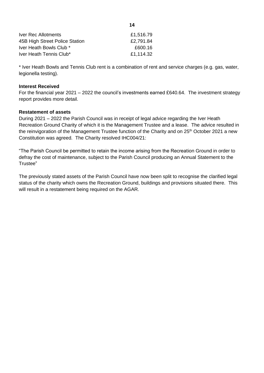| £1,516.79 |
|-----------|
| £2,791.84 |
| £600.16   |
| £1,114.32 |
|           |

\* Iver Heath Bowls and Tennis Club rent is a combination of rent and service charges (e.g. gas, water, legionella testing).

#### **Interest Received**

For the financial year 2021 – 2022 the council's investments earned £640.64. The investment strategy report provides more detail.

#### **Restatement of assets**

During 2021 – 2022 the Parish Council was in receipt of legal advice regarding the Iver Heath Recreation Ground Charity of which it is the Management Trustee and a lease. The advice resulted in the reinvigoration of the Management Trustee function of the Charity and on 25<sup>th</sup> October 2021 a new Constitution was agreed. The Charity resolved IHC004/21:

"The Parish Council be permitted to retain the income arising from the Recreation Ground in order to defray the cost of maintenance, subject to the Parish Council producing an Annual Statement to the Trustee"

The previously stated assets of the Parish Council have now been split to recognise the clarified legal status of the charity which owns the Recreation Ground, buildings and provisions situated there. This will result in a restatement being required on the AGAR.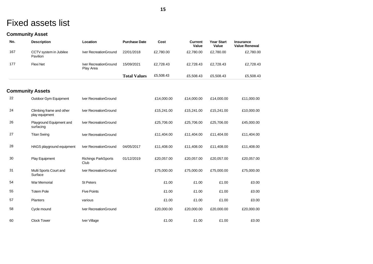## Fixed assets list

## **Community Asset**

| No. | <b>Description</b>                         | Location                           | <b>Purchase Date</b> | Cost       | Current<br>Value | <b>Year Start</b><br>Value | <b>Insurance</b><br><b>Value Renewal</b> |
|-----|--------------------------------------------|------------------------------------|----------------------|------------|------------------|----------------------------|------------------------------------------|
| 167 | CCTV system in Jubilee<br>Pavilion         | Iver RecreationGround              | 22/01/2018           | £2,780.00  | £2,780.00        | £2,780.00                  | £2,780.00                                |
| 177 | <b>Flexi Net</b>                           | Iver RecreationGround<br>Play Area | 15/09/2021           | £2,728.43  | £2,728.43        | £2,728.43                  | £2,728.43                                |
|     |                                            |                                    | <b>Total Values</b>  | £5,508.43  | £5,508.43        | £5,508.43                  | £5,508.43                                |
|     | <b>Community Assets</b>                    |                                    |                      |            |                  |                            |                                          |
| 22  | Outdoor Gym Equipment                      | Iver RecreationGround              |                      | £14,000.00 | £14,000.00       | £14,000.00                 | £11,000.00                               |
| 24  | Climbing frame and other<br>play equipment | Iver RecreationGround              |                      | £15,241.00 | £15,241.00       | £15,241.00                 | £10,000.00                               |
| 26  | Playground Equipment and<br>surfacing      | Iver RecreationGround              |                      | £25,706.00 | £25,706.00       | £25,706.00                 | £45,000.00                               |
| 27  | <b>Titan Swing</b>                         | Iver RecreationGround              |                      | £11,404.00 | £11,404.00       | £11,404.00                 | £11,404.00                               |
| 28  | HAGS playground equipment                  | Iver RecreationGround              | 04/05/2017           | £11,408.00 | £11,408.00       | £11,408.00                 | £11,408.00                               |
| 30  | Play Equipment                             | <b>Richings ParkSports</b><br>Club | 01/12/2019           | £20,057.00 | £20,057.00       | £20,057.00                 | £20,057.00                               |
| 31  | Multi Sports Court and<br>Surface          | Iver RecreationGround              |                      | £75,000.00 | £75,000.00       | £75,000.00                 | £75,000.00                               |
| 54  | <b>War Memorial</b>                        | <b>St Peters</b>                   |                      | £1.00      | £1.00            | £1.00                      | £0.00                                    |
| 55  | <b>Totem Pole</b>                          | <b>Five Points</b>                 |                      | £1.00      | £1.00            | £1.00                      | £0.00                                    |
| 57  | Planters                                   | various                            |                      | £1.00      | £1.00            | £1.00                      | £0.00                                    |
| 58  | Cycle mound                                | Iver RecreationGround              |                      | £20,000.00 | £20,000.00       | £20,000.00                 | £20,000.00                               |
| 60  | <b>Clock Tower</b>                         | Iver Village                       |                      | £1.00      | £1.00            | £1.00                      | £0.00                                    |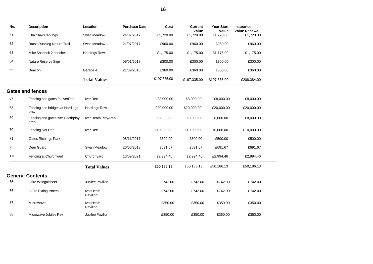| No. | <b>Description</b>                       | Location               | <b>Purchase Date</b> | Cost        | <b>Current</b><br>Value | <b>Year Start</b><br>Value | <b>Insurance</b><br><b>Value Renewal</b> |  |
|-----|------------------------------------------|------------------------|----------------------|-------------|-------------------------|----------------------------|------------------------------------------|--|
| 61  | Chainsaw Carvings                        | Swan Meadow            | 24/07/2017           | £1,720.00   | £1,720.00               | £1,720.00                  | £1,720.00                                |  |
| 62  | <b>Brass Rubbing Nature Trail</b>        | Swan Meadow            | 21/07/2017           | £960.00     | £960.00                 | £960.00                    | £960.00                                  |  |
| 63  | Mike Shadbolt 2 benches                  | <b>Hardings Row</b>    |                      | £1,175.00   | £1,175.00               | £1,175.00                  | £1,175.00                                |  |
| 64  | Nature Reserve Sign                      |                        | 09/01/2018           | £300.00     | £300.00                 | £300.00                    | £300.00                                  |  |
| 65  | Beacon                                   | Garage 4               | 21/09/2018           | £360.00     | £360.00                 | £360.00                    | £360.00                                  |  |
|     |                                          | <b>Total Values</b>    |                      | £197,335.00 | £197,335.00             | £197,335.00                | £208,384.00                              |  |
|     | <b>Gates and fences</b>                  |                        |                      |             |                         |                            |                                          |  |
| 67  | Fencing and gates for IverRec            | Iver Rec               |                      | £8,000.00   | £8,000.00               | £8,000.00                  | £8,000.00                                |  |
| 68  | Fencing and bridges at Hardings<br>\row  | <b>Hardings Row</b>    |                      | £20,000.00  | £20,000.00              | £20,000.00                 | £20,000.00                               |  |
| 69  | Fencing and gates Iver Heathplay<br>area | Iver Heath PlayArea    |                      | £8,000.00   | £8,000.00               | £8,000.00                  | £8,000.00                                |  |
| 70  | Fencing Iver Rec                         | Iver Rec               |                      | £10,000.00  | £10,000.00              | £10,000.00                 | £10,000.00                               |  |
| 71  | <b>Gates Richings Park</b>               |                        | 08/11/2017           | £500.00     | £500.00                 | £500.00                    | £500.00                                  |  |
| 73  | Deer Guard                               | Swan Meadow            | 26/06/2018           | £691.67     | £691.67                 | £691.67                    | £691.67                                  |  |
| 178 | Fencing at Churchyard                    | Churchyard             | 16/09/2021           | £2,994.46   | £2,994.46               | £2,994.46                  | £2,994.46                                |  |
|     |                                          | <b>Total Values</b>    |                      | £50,186.13  | £50,186.13              | £50,186.13                 | £50,186.13                               |  |
|     | <b>General Contents</b>                  |                        |                      |             |                         |                            |                                          |  |
| 85  | 3 fire extinguishers                     | Jubilee Pavilion       |                      | £742.00     | £742.00                 | £742.00                    | £742.00                                  |  |
| 86  | 3 Fire Extinguishers                     | Iver Heath<br>Pavilion |                      | £742.00     | £742.00                 | £742.00                    | £742.00                                  |  |
| 87  | Microwave                                | Iver Heath<br>Pavilion |                      | £350.00     | £350.00                 | £350.00                    | £350.00                                  |  |
| 88  | Microwave Jubilee Pav                    | Jubilee Pavilion       |                      | £350.00     | £350.00                 | £350.00                    | £350.00                                  |  |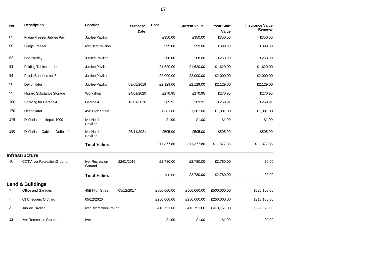| No. | <b>Description</b>                   | Location                  | <b>Purchase</b><br><b>Date</b> | Cost        | <b>Current Value</b> | <b>Year Start</b><br>Value | <b>Insurance Value</b><br>Renewal |
|-----|--------------------------------------|---------------------------|--------------------------------|-------------|----------------------|----------------------------|-----------------------------------|
| 89  | Fridge Freezer Jubilee Pav           | Jubilee Pavilion          |                                | £350.00     | £350.00              | £350.00                    | £350.00                           |
| 90  | <b>Fridge Freezer</b>                | Iver HeatPavilion         |                                | £399.00     | £399.00              | £399.00                    | £399.00                           |
| 92  | Chair trolley                        | Jubilee Pavilion          |                                | £268.00     | £268.00              | £268.00                    | £268.00                           |
| 93  | Folding Tables no. 11                | Jubilee Pavilion          |                                | £1,620.00   | £1,620.00            | £1,620.00                  | £1,620.00                         |
| 94  | Picnic Benches no. 3                 | Jubilee Pavilion          |                                | £2,000.00   | £2,000.00            | £2,000.00                  | £2,000.00                         |
| 98  | Defibrillator                        | Jubilee Pavilion          | 03/05/2019                     | £2,129.00   | £2,129.00            | £2,129.00                  | £2,129.00                         |
| 99  | <b>Hazard Substance Storage</b>      | Workshop                  | 24/01/2020                     | £270.95     | £270.95              | £270.95                    | £270.95                           |
| 100 | Shelving for Garage 4                | Garage 4                  | 16/01/2020                     | £269.91     | £269.91              | £269.91                    | £269.91                           |
| 170 | Defibrillator                        | 45B High Street           |                                | £1,381.00   | £1,381.00            | £1,381.00                  | £1,381.00                         |
| 179 | Defibrilator - Lifepak 1000          | Iver Heath<br>Pavilion    |                                | £1.00       | £1.00                | £1.00                      | £1.00                             |
| 180 | Defibrilator Cabinet -Defibsafe<br>2 | Iver Heath<br>Pavilion    | 25/11/2021                     | £505.00     | £505.00              | £505.00                    | £505.00                           |
|     |                                      | <b>Total Values</b>       |                                | £11,377.86  | £11,377.86           | £11,377.86                 | £11,377.86                        |
|     | <b>Infrastructure</b>                |                           |                                |             |                      |                            |                                   |
| 10  | <b>CCTV Iver RecreationGround</b>    | Iver Recreation<br>Ground | 22/01/2018                     | £2,780.00   | £2,780.00            | £2,780.00                  | £0.00                             |
|     |                                      | <b>Total Values</b>       |                                | £2,780.00   | £2,780.00            | £2,780.00                  | £0.00                             |
|     | <b>Land &amp; Buildings</b>          |                           |                                |             |                      |                            |                                   |
| 1   | Office and Garages                   | 45B High Street           | 05/12/2017                     | £500,000.00 | £500,000.00          | £500,000.00                | £525,100.00                       |
| 2   | 63 Chequers Orchard                  | 05/12/2020                |                                | £250,000.00 | £250,000.00          | £250,000.00                | £318,180.00                       |
| 3   | Jubilee Pavilion                     | Iver RecreationGround     |                                | £413,751.00 | £413,751.00          | £413,751.00                | £809,520.00                       |
| 12  | Iver Recreation Ground               | <b>Iver</b>               |                                | £1.00       | £1.00                | £1.00                      | £0.00                             |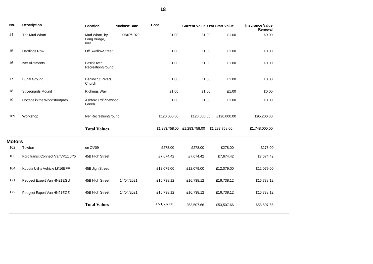| No.           | <b>Description</b>               | Location                                                   | <b>Purchase Date</b> | Cost          | <b>Current Value Year Start Value</b> |               | <b>Insurance Value</b><br>Renewal |
|---------------|----------------------------------|------------------------------------------------------------|----------------------|---------------|---------------------------------------|---------------|-----------------------------------|
| 14            | The Mud Wharf                    | Mud Wharf, by<br>05/07/1979<br>Long Bridge,<br><b>Iver</b> |                      | £1.00         | £1.00                                 | £1.00         | £0.00                             |
| 15            | <b>Hardings Row</b>              | Off SwallowStreet                                          |                      | £1.00         | £1.00                                 | £1.00         | £0.00                             |
| 16            | <b>Iver Allotments</b>           | <b>Beside Iver</b><br>RecreationGround                     |                      | £1.00         | £1.00                                 | £1.00         | £0.00                             |
| 17            | <b>Burial Ground</b>             | <b>Behind St Peters</b><br>Church                          |                      | £1.00         | £1.00                                 | £1.00         | £0.00                             |
| 18            | <b>St Leonards Mound</b>         | <b>Richings Way</b>                                        |                      | £1.00         | £1.00                                 | £1.00         | £0.00                             |
| 19            | Cottage in the Woodsfootpath     | Ashford Rd/Pinewood<br>Green                               |                      | £1.00         | £1.00                                 | £1.00         | £0.00                             |
| 169           | Workshop                         | Iver RecreationGround                                      |                      | £120,000.00   | £120,000.00                           | £120,000.00   | £95,200.00                        |
|               |                                  | <b>Total Values</b>                                        |                      | £1,283,758.00 | £1,283,758.00                         | £1,283,758.00 | £1,748,000.00                     |
| <b>Motors</b> |                                  |                                                            |                      |               |                                       |               |                                   |
| 102           | Towbar                           | on OV09                                                    |                      | £278.00       | £278.00                               | £278.00       | £278.00                           |
| 103           | Ford transit Connect VanVK11 JYX | 45B High Street                                            |                      | £7,674.42     | £7,674.42                             | £7,674.42     | £7,674.42                         |
| 104           | Kubota Utility Vehicle LK16EFF   | 45B Jigh Street                                            |                      | £12,079.00    | £12,079.00                            | £12,079.00    | £12,079.00                        |
| 171           | Peugeot Expert Van HN21EGU       | 45B High Street                                            | 14/04/2021           | £16,738.12    | £16,738.12                            | £16,738.12    | £16,738.12                        |
| 172           | Peugeot Expert Van HN21EGZ       | 45B High Street                                            | 14/04/2021           | £16,738.12    | £16,738.12                            | £16,738.12    | £16,738.12                        |
|               |                                  | <b>Total Values</b>                                        |                      | £53,507.66    | £53,507.66                            | £53,507.66    | £53,507.66                        |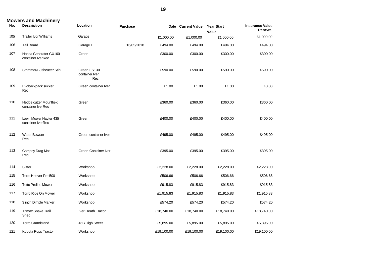|     | <b>Mowers and Machinery</b>                  |                                      |                 |            |                    |                            |                                   |
|-----|----------------------------------------------|--------------------------------------|-----------------|------------|--------------------|----------------------------|-----------------------------------|
| No. | <b>Description</b>                           | Location                             | <b>Purchase</b> |            | Date Current Value | <b>Year Start</b><br>Value | <b>Insurance Value</b><br>Renewal |
| 105 | <b>Trailer Ivor Williams</b>                 | Garage                               |                 | £1,000.00  | £1,000.00          | £1,000.00                  | £1,000.00                         |
| 106 | <b>Tail Board</b>                            | Garage 1                             | 16/05/2018      | £494.00    | £494.00            | £494.00                    | £494.00                           |
| 107 | Honda Generator GX160<br>container IverRec   | Green                                |                 | £300.00    | £300.00            | £300.00                    | £300.00                           |
| 108 | Strimmer/Bushcutter Stihl                    | Green FS130<br>container Iver<br>Rec |                 | £590.00    | £590.00            | £590.00                    | £590.00                           |
| 109 | Evobackpack sucker<br>Rec                    | Green container Iver                 |                 | £1.00      | £1.00              | £1.00                      | £0.00                             |
| 110 | Hedge cutter Mountfield<br>container IverRec | Green                                |                 | £360.00    | £360.00            | £360.00                    | £360.00                           |
| 111 | Lawn Mower Hayter 435<br>container IverRec   | Green                                |                 | £400.00    | £400.00            | £400.00                    | £400.00                           |
| 112 | <b>Water Bowser</b><br>Rec                   | Green container Iver                 |                 | £495.00    | £495.00            | £495.00                    | £495.00                           |
| 113 | Campey Drag Mat<br>Rec                       | Green Container Iver                 |                 | £395.00    | £395.00            | £395.00                    | £395.00                           |
| 114 | Slitter                                      | Workshop                             |                 | £2,228.00  | £2,228.00          | £2,228.00                  | £2,228.00                         |
| 115 | Torro Hoover Pro 500                         | Workshop                             |                 | £506.66    | £506.66            | £506.66                    | £506.66                           |
| 116 | <b>Totto Proline Mower</b>                   | Workshop                             |                 | £915.83    | £915.83            | £915.83                    | £915.83                           |
| 117 | Torro Ride On Mower                          | Workshop                             |                 | £1,915.83  | £1,915.83          | £1,915.83                  | £1,915.83                         |
| 118 | 3 inch Dimple Marker                         | Workshop                             |                 | £574.20    | £574.20            | £574.20                    | £574.20                           |
| 119 | <b>Trimax Snake Trail</b><br>Shed            | Iver Heath Tracor                    |                 | £18,740.00 | £18,740.00         | £18,740.00                 | £18,740.00                        |
| 120 | <b>Torro Grandstand</b>                      | 45B High Street                      |                 | £5,895.00  | £5,895.00          | £5,895.00                  | £5,895.00                         |
| 121 | Kubota Rops Tractor                          | Workshop                             |                 | £19,100.00 | £19,100.00         | £19,100.00                 | £19,100.00                        |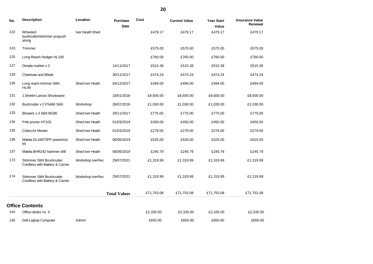| No. | <b>Description</b>                                                   | Location         | <b>Purchase</b><br>Date | Cost       | <b>Current Value</b> | <b>Year Start</b><br>Value | <b>Insurance Value</b><br>Renewal |
|-----|----------------------------------------------------------------------|------------------|-------------------------|------------|----------------------|----------------------------|-----------------------------------|
| 122 | Wheeled<br>bushcutter/strimmer propush<br>along                      | Iver Heath Shed  |                         | £479.17    | £479.17              | £479.17                    | £479.17                           |
| 123 | Trimmer                                                              |                  |                         | £575.00    | £575.00              | £575.00                    | £575.00                           |
| 125 | Long Reach Hedger HL100                                              |                  |                         | £760.00    | £760.00              | £760.00                    | £760.00                           |
| 127 | Dimple marker x 2                                                    |                  | 14/11/2017              | £515.38    | £515.38              | £515.38                    | £515.38                           |
| 129 | Chainsaw and Blade                                                   |                  | 30/11/2017              | £474.24    | £474.24              | £474.24                    | £474.24                           |
| 130 | Long reach trimmer Stihl<br><b>HL94</b>                              | Shed Iver Heath  | 04/12/2017              | £494.00    | £494.00              | £494.00                    | £494.00                           |
| 131 | 1.5metre Lamax Shockwave                                             |                  | 18/01/2018              | £8,600.00  | £8,600.00            | £8,600.00                  | £8,600.00                         |
| 132 | Bushcutter x 2 FS460 Stihl                                           | Workshop         | 26/07/2018              | £1,030.00  | £1,030.00            | £1,030.00                  | £1,030.00                         |
| 133 | Blowers x 3 Stihl BG86                                               | Shed Iver Heath  | 28/11/2017              | £775.00    | £775.00              | £775.00                    | £775.00                           |
| 134 | Pole pruner HT103                                                    | Shed Iver Heath  | 01/03/2019              | £450.00    | £450.00              | £450.00                    | £450.00                           |
| 135 | Cobra Air Mower                                                      | Shed Iver Heath  | 01/03/2019              | £279.00    | £279.00              | £279.00                    | £279.00                           |
| 136 | Makita DLX6072PP powertool<br>kit                                    | Shed Iver Heath  | 06/06/2019              | £525.00    | £525.00              | £525.00                    | £525.00                           |
| 137 | Makita BHR242 hammer drill                                           | Shed Iver Heath  | 06/06/2019              | £245.79    | £245.79              | £245.79                    | £245.79                           |
| 173 | <b>Strimmer Stihl Brushcutter</b><br>Cordless with Battery & Carrier | Workshop IverRec | 29/07/2021              | £1,319.99  | £1,319.99            | £1,319.99                  | £1,319.99                         |
| 174 | <b>Strimmer Stihl Brushcutter</b><br>Cordless with Battery & Carrier | Workshop IverRec | 29/07/2021              | £1,319.99  | £1,319.99            | £1,319.99                  | £1,319.99                         |
|     |                                                                      |                  | <b>Total Values</b>     | £71,753.08 | £71,753.08           | £71,753.08                 | £71,752.08                        |
|     | <b>Office Contents</b>                                               |                  |                         |            |                      |                            |                                   |
| 144 | Office desks no. 5                                                   |                  |                         | £2,335.00  | £2,335.00            | £2,335.00                  | £2,335.00                         |
| 145 | Dell Laptop Computer                                                 | Admin            |                         | £650.00    | £650.00              | £650.00                    | £650.00                           |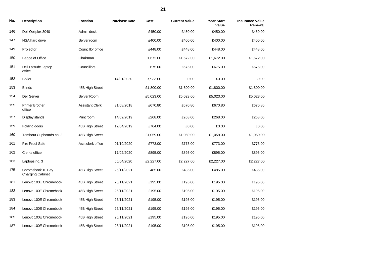| No. | <b>Description</b>                           | Location               | <b>Purchase Date</b> | Cost      | <b>Current Value</b> | <b>Year Start</b><br>Value | <b>Insurance Value</b><br>Renewal |
|-----|----------------------------------------------|------------------------|----------------------|-----------|----------------------|----------------------------|-----------------------------------|
| 146 | Dell Opitplex 3040                           | Admin desk             |                      | £450.00   | £450.00              | £450.00                    | £450.00                           |
| 147 | NSA hard drive                               | Server room            |                      | £400.00   | £400.00              | £400.00                    | £400.00                           |
| 149 | Projector                                    | Councillor office      |                      | £448.00   | £448.00              | £448.00                    | £448.00                           |
| 150 | Badge of Office                              | Chairman               |                      | £1,672.00 | £1,672.00            | £1,672.00                  | £1,672.00                         |
| 151 | Dell Latitude Laptop<br>office               | Councillors            |                      | £675.00   | £675.00              | £675.00                    | £675.00                           |
| 152 | Boiler                                       |                        | 14/01/2020           | £7,933.00 | £0.00                | £0.00                      | £0.00                             |
| 153 | <b>Blinds</b>                                | 45B High Street        |                      | £1,800.00 | £1,800.00            | £1,800.00                  | £1,800.00                         |
| 154 | <b>Dell Server</b>                           | Server Room            |                      | £5,023.00 | £5,023.00            | £5,023.00                  | £5,023.00                         |
| 155 | <b>Printer Brother</b><br>office             | <b>Assistant Clerk</b> | 31/08/2018           | £670.80   | £670.80              | £670.80                    | £670.80                           |
| 157 | Display stands                               | Print room             | 14/02/2019           | £268.00   | £268.00              | £268.00                    | £268.00                           |
| 159 | Folding doors                                | 45B High Street        | 12/04/2019           | £764.00   | £0.00                | £0.00                      | £0.00                             |
| 160 | Tambour Cupboards no. 2                      | 45B High Street        |                      | £1,059.00 | £1,059.00            | £1,059.00                  | £1,059.00                         |
| 161 | Fire Proof Safe                              | Asst clerk office      | 01/10/2020           | £773.00   | £773.00              | £773.00                    | £773.00                           |
| 162 | Clerks office                                |                        | 17/02/2020           | £895.00   | £895.00              | £895.00                    | £895.00                           |
| 163 | Laptops no. 3                                |                        | 05/04/2020           | £2,227.00 | £2,227.00            | £2,227.00                  | £2,227.00                         |
| 175 | Chromebook 10 Bay<br><b>Charging Cabinet</b> | 45B High Street        | 26/11/2021           | £485.00   | £485.00              | £485.00                    | £485.00                           |
| 181 | Lenovo 100E Chromebook                       | 45B High Street        | 26/11/2021           | £195.00   | £195.00              | £195.00                    | £195.00                           |
| 182 | Lenovo 100E Chromebook                       | 45B High Street        | 26/11/2021           | £195.00   | £195.00              | £195.00                    | £195.00                           |
| 183 | Lenovo 100E Chromebook                       | 45B High Street        | 26/11/2021           | £195.00   | £195.00              | £195.00                    | £195.00                           |
| 184 | Lenovo 100E Chromebook                       | 45B High Street        | 26/11/2021           | £195.00   | £195.00              | £195.00                    | £195.00                           |

 Lenovo 100E Chromebook 45B High Street 26/11/2021 £195.00 £195.00 £195.00 £195.00 Lenovo 100E Chromebook 45B High Street 26/11/2021 £195.00 £195.00 £195.00 £195.00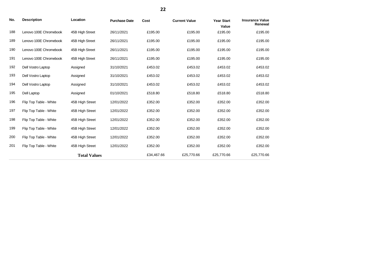| No. | <b>Description</b>     | Location            | <b>Purchase Date</b> | Cost       | <b>Current Value</b> | <b>Year Start</b><br>Value | <b>Insurance Value</b><br>Renewal |
|-----|------------------------|---------------------|----------------------|------------|----------------------|----------------------------|-----------------------------------|
| 188 | Lenovo 100E Chromebook | 45B High Street     | 26/11/2021           | £195.00    | £195.00              | £195.00                    | £195.00                           |
| 189 | Lenovo 100E Chromebook | 45B High Street     | 26/11/2021           | £195.00    | £195.00              | £195.00                    | £195.00                           |
| 190 | Lenovo 100E Chromebook | 45B High Street     | 26/11/2021           | £195.00    | £195.00              | £195.00                    | £195.00                           |
| 191 | Lenovo 100E Chromebook | 45B High Street     | 26/11/2021           | £195.00    | £195.00              | £195.00                    | £195.00                           |
| 192 | Dell Vostro Laptop     | Assigned            | 31/10/2021           | £453.02    | £453.02              | £453.02                    | £453.02                           |
| 193 | Dell Vostro Laptop     | Assigned            | 31/10/2021           | £453.02    | £453.02              | £453.02                    | £453.02                           |
| 194 | Dell Vostro Laptop     | Assigned            | 31/10/2021           | £453.02    | £453.02              | £453.02                    | £453.02                           |
| 195 | Dell Laptop            | Assigned            | 01/10/2021           | £518.80    | £518.80              | £518.80                    | £518.80                           |
| 196 | Flip Top Table - White | 45B High Street     | 12/01/2022           | £352.00    | £352.00              | £352.00                    | £352.00                           |
| 197 | Flip Top Table - White | 45B High Street     | 12/01/2022           | £352.00    | £352.00              | £352.00                    | £352.00                           |
| 198 | Flip Top Table - White | 45B High Street     | 12/01/2022           | £352.00    | £352.00              | £352.00                    | £352.00                           |
| 199 | Flip Top Table - White | 45B High Street     | 12/01/2022           | £352.00    | £352.00              | £352.00                    | £352.00                           |
| 200 | Flip Top Table - White | 45B High Street     | 12/01/2022           | £352.00    | £352.00              | £352.00                    | £352.00                           |
| 201 | Flip Top Table - White | 45B High Street     | 12/01/2022           | £352.00    | £352.00              | £352.00                    | £352.00                           |
|     |                        | <b>Total Values</b> |                      | £34,467.66 | £25,770.66           | £25,770.66                 | £25,770.66                        |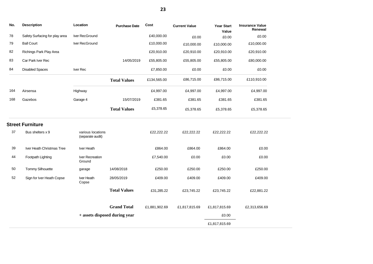| No. | <b>Description</b>             | Location                              | <b>Purchase Date</b> | Cost          | <b>Current Value</b> | <b>Year Start</b><br>Value | <b>Insurance Value</b><br>Renewal |  |
|-----|--------------------------------|---------------------------------------|----------------------|---------------|----------------------|----------------------------|-----------------------------------|--|
| 78  | Safety Surfacing for play area | Iver RecGround                        |                      | £40,000.00    | £0.00                | £0.00                      | £0.00                             |  |
| 79  | <b>Ball Court</b>              | Iver RecGround                        |                      | £10,000.00    | £10,000.00           | £10,000.00                 | £10,000.00                        |  |
| 82  | Richings Park Play Area        |                                       |                      | £20,910.00    | £20,910.00           | £20,910.00                 | £20,910.00                        |  |
| 83  | Car Park Iver Rec              |                                       | 14/05/2019           | £55,805.00    | £55,805.00           | £55,805.00                 | £80,000.00                        |  |
| 84  | <b>Disabled Spaces</b>         | Iver Rec                              |                      | £7,850.00     | £0.00                | £0.00                      | £0.00                             |  |
|     |                                |                                       | <b>Total Values</b>  | £134,565.00   | £86,715.00           | £86,715.00                 | £110,910.00                       |  |
| 164 | Airsensa                       | Highway                               |                      | £4,997.00     | £4,997.00            | £4,997.00                  | £4,997.00                         |  |
| 168 | Gazebos                        | Garage 4                              | 15/07/2019           | £381.65       | £381.65              | £381.65                    | £381.65                           |  |
|     |                                |                                       | <b>Total Values</b>  | £5,378.65     | £5,378.65            | £5,378.65                  | £5,378.65                         |  |
|     | <b>Street Furniture</b>        |                                       |                      |               |                      |                            |                                   |  |
| 37  | Bus shelters x 9               | various locations<br>(separate audit) |                      | £22,222.22    | £22,222.22           | £22,222.22                 | £22,222.22                        |  |
| 39  | Iver Heath Christmas Tree      | Iver Heath                            |                      | £864.00       | £864.00              | £864.00                    | £0.00                             |  |
| 44  | Footpath Lighting              | Iver Recreation<br>Ground             |                      | £7,540.00     | £0.00                | £0.00                      | £0.00                             |  |
| 50  | <b>Tommy Silhouette</b>        | garage                                | 14/08/2018           | £250.00       | £250.00              | £250.00                    | £250.00                           |  |
| 52  | Sign for Iver Heath Copse      | Iver Heath<br>Copse                   | 28/05/2019           | £409.00       | £409.00              | £409.00                    | £409.00                           |  |
|     |                                |                                       | <b>Total Values</b>  | £31,285.22    | £23,745.22           | £23,745.22                 | £22,881.22                        |  |
|     |                                |                                       | <b>Grand Total</b>   | £1,881,902.69 | £1,817,815.69        | £1,817,815.69              | £2,313,656.69                     |  |
|     |                                | + assets disposed during year         |                      |               |                      | £0.00                      |                                   |  |
|     |                                |                                       |                      |               |                      | £1,817,815.69              |                                   |  |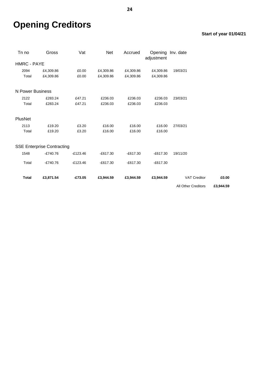# **Opening Creditors**

## **Start of year 01/04/21**

| Tn no              | Gross                             | Vat        | Net        | Accrued    | Opening Inv. date<br>adjustment |                            |           |
|--------------------|-----------------------------------|------------|------------|------------|---------------------------------|----------------------------|-----------|
| <b>HMRC - PAYE</b> |                                   |            |            |            |                                 |                            |           |
| 2094               | £4,309.86                         | £0.00      | £4,309.86  | £4,309.86  | £4,309.86                       | 19/03/21                   |           |
| Total              | £4,309.86                         | £0.00      | £4,309.86  | £4,309.86  | £4,309.86                       |                            |           |
| N Power Business   |                                   |            |            |            |                                 |                            |           |
| 2122               | £283.24                           | £47.21     | £236.03    | £236.03    | £236.03                         | 23/03/21                   |           |
| Total              | £283.24                           | £47.21     | £236.03    | £236.03    | £236.03                         |                            |           |
| PlusNet            |                                   |            |            |            |                                 |                            |           |
| 2113               | £19.20                            | £3.20      | £16.00     | £16.00     | £16.00                          | 27/03/21                   |           |
| Total              | £19.20                            | £3.20      | £16.00     | £16.00     | £16.00                          |                            |           |
|                    | <b>SSE Enterprise Contracting</b> |            |            |            |                                 |                            |           |
| 1548               | $-£740.76$                        | $-£123.46$ | $-£617.30$ | $-£617.30$ | $-£617.30$                      | 19/11/20                   |           |
| Total              | $-£740.76$                        | $-£123.46$ | $-£617.30$ | $-£617.30$ | $-£617.30$                      |                            |           |
| <b>Total</b>       | £3,871.54                         | $-£73.05$  | £3,944.59  | £3,944.59  | £3,944.59                       | <b>VAT Creditor</b>        | £0.00     |
|                    |                                   |            |            |            |                                 | <b>All Other Creditors</b> | £3,944.59 |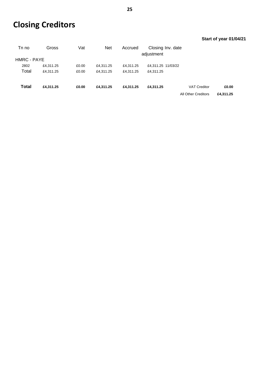# **Closing Creditors**

## **Start of year 01/04/21**

| Tn no       | Gross     | Vat   | <b>Net</b> | Accrued   | Closing Inv. date  |                     |           |
|-------------|-----------|-------|------------|-----------|--------------------|---------------------|-----------|
|             |           |       |            |           | adjustment         |                     |           |
| HMRC - PAYE |           |       |            |           |                    |                     |           |
| 2802        | £4,311.25 | £0.00 | £4,311.25  | £4,311.25 | £4,311.25 11/03/22 |                     |           |
| Total       | £4,311.25 | £0.00 | £4,311.25  | £4,311.25 | £4.311.25          |                     |           |
|             |           |       |            |           |                    |                     |           |
| Total       | £4,311.25 | £0.00 | £4.311.25  | £4.311.25 | £4.311.25          | <b>VAT Creditor</b> | £0.00     |
|             |           |       |            |           |                    | All Other Creditors | £4,311.25 |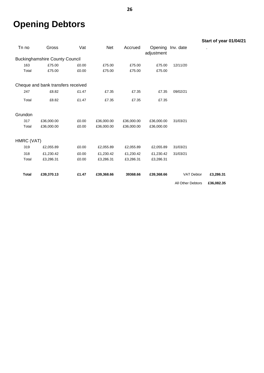# **Opening Debtors**

|              |                                       |       |            |            |            |                   | Start of year 01/04/21 |
|--------------|---------------------------------------|-------|------------|------------|------------|-------------------|------------------------|
| Tn no        | Gross                                 | Vat   | Net        | Accrued    | adjustment | Opening Inv. date |                        |
|              | <b>Buckinghamshire County Council</b> |       |            |            |            |                   |                        |
| 163          | £75.00                                | £0.00 | £75.00     | £75.00     | £75.00     | 12/11/20          |                        |
| Total        | £75.00                                | £0.00 | £75.00     | £75.00     | £75.00     |                   |                        |
|              | Cheque and bank transfers received    |       |            |            |            |                   |                        |
| 247          | £8.82                                 | £1.47 | £7.35      | £7.35      | £7.35      | 09/02/21          |                        |
| Total        | £8.82                                 | £1.47 | £7.35      | £7.35      | £7.35      |                   |                        |
| Grundon      |                                       |       |            |            |            |                   |                        |
| 317          | £36,000.00                            | £0.00 | £36,000.00 | £36,000.00 | £36,000.00 | 31/03/21          |                        |
| Total        | £36,000.00                            | £0.00 | £36,000.00 | £36,000.00 | £36,000.00 |                   |                        |
| HMRC (VAT)   |                                       |       |            |            |            |                   |                        |
| 319          | £2,055.89                             | £0.00 | £2,055.89  | £2,055.89  | £2,055.89  | 31/03/21          |                        |
| 318          | £1,230.42                             | £0.00 | £1,230.42  | £1,230.42  | £1,230.42  | 31/03/21          |                        |
| Total        | £3,286.31                             | £0.00 | £3,286.31  | £3,286.31  | £3,286.31  |                   |                        |
| <b>Total</b> | £39,370.13                            | £1.47 | £39,368.66 | 39368.66   | £39,368.66 | VAT Debtor        | £3,286.31              |
|              |                                       |       |            |            |            | All Other Debtors | £36,082.35             |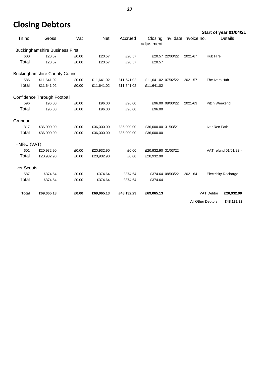# **Closing Debtors**

**Start of year 01/04/21**

| Tn no              | Gross                                 | Vat   | Net        | Accrued    | adjustment          |                  | Closing Inv. date Invoice no. |                             | Details               |
|--------------------|---------------------------------------|-------|------------|------------|---------------------|------------------|-------------------------------|-----------------------------|-----------------------|
|                    | <b>Buckinghamshire Business First</b> |       |            |            |                     |                  |                               |                             |                       |
| 600                | £20.57                                | £0.00 | £20.57     | £20.57     |                     | £20.57 22/03/22  | 2021-67                       | Hub Hire                    |                       |
| Total              | £20.57                                | £0.00 | £20.57     | £20.57     | £20.57              |                  |                               |                             |                       |
|                    | <b>Buckinghamshire County Council</b> |       |            |            |                     |                  |                               |                             |                       |
| 586                | £11,641.02                            | £0.00 | £11,641.02 | £11,641.02 | £11,641.02 07/02/22 |                  | 2021-57                       | The Ivers Hub               |                       |
| Total              | £11,641.02                            | £0.00 | £11,641.02 | £11,641.02 | £11,641.02          |                  |                               |                             |                       |
|                    | Confidence Through Football           |       |            |            |                     |                  |                               |                             |                       |
| 596                | £96.00                                | £0.00 | £96.00     | £96.00     |                     | £96.00 08/03/22  | 2021-63                       | Pitch Weekend               |                       |
| Total              | £96.00                                | £0.00 | £96.00     | £96.00     | £96.00              |                  |                               |                             |                       |
| Grundon            |                                       |       |            |            |                     |                  |                               |                             |                       |
| 317                | £36,000.00                            | £0.00 | £36,000.00 | £36,000.00 | £36,000.00 31/03/21 |                  |                               | Iver Rec Path               |                       |
| Total              | £36,000.00                            | £0.00 | £36,000.00 | £36,000.00 | £36,000.00          |                  |                               |                             |                       |
| HMRC (VAT)         |                                       |       |            |            |                     |                  |                               |                             |                       |
| 601                | £20,932.90                            | £0.00 | £20,932.90 | £0.00      | £20,932.90 31/03/22 |                  |                               |                             | VAT refund 01/01/22 - |
| Total              | £20,932.90                            | £0.00 | £20,932.90 | £0.00      | £20,932.90          |                  |                               |                             |                       |
| <b>Iver Scouts</b> |                                       |       |            |            |                     |                  |                               |                             |                       |
| 587                | £374.64                               | £0.00 | £374.64    | £374.64    |                     | £374.64 08/03/22 | 2021-64                       | <b>Electricity Recharge</b> |                       |
| Total              | £374.64                               | £0.00 | £374.64    | £374.64    | £374.64             |                  |                               |                             |                       |
| <b>Total</b>       | £69,065.13                            | £0.00 | £69,065.13 | £48,132.23 | £69,065.13          |                  |                               | <b>VAT Debtor</b>           | £20,932.90            |
|                    |                                       |       |            |            |                     |                  | All Other Debtors             |                             | £48,132.23            |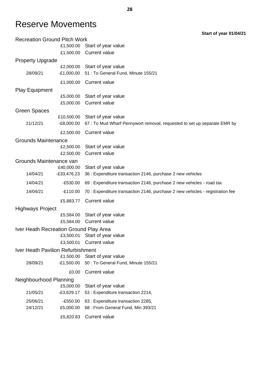## Reserve Movements

Recreation Ground Pitch Work £1,500.00 Start of year value £1,500.00 Current value Property Upgrade £2,000.00 Start of year value 28/09/21 -£1,000.00 51 : To General Fund, Minute 155/21 £1,000.00 Current value Play Equipment £5,000.00 Start of year value £5,000.00 Current value Green Spaces £10,500.00 Start of year value 21/12/21 -£8,000.00 67 : To Mud Wharf Pennywort removal, requested to set up separate EMR by £2,500.00 Current value Grounds Maintenance £2,500.00 Start of year value £2,500.00 Current value Grounds Maintenance van £40,000.00 Start of year value 14/04/21 -£33,476.23 36 : Expenditure transaction 2146, purchase 2 new vehicles 14/04/21 - FE530.00 69 : Expenditure transaction 2146, purchase 2 new vehicles - road tax 14/04/21 - E110.00 70 : Expenditure transaction 2146, purchase 2 new vehicles - registration fee £5,883.77 Current value Highways Project £5,584.00 Start of year value £5,584.00 Current value Iver Heath Recreation Ground Play Area £3,500.01 Start of year value £3,500.01 Current value Iver Heath Pavilion Refurbishment £1,500.00 Start of year value 28/09/21 -£1,500.00 50 : To General Fund, Minute 155/21 £0.00 Current value Neighbourhood Planning £5,000.00 Start of year value 21/05/21 -£3,629.17 53 : Expenditure transaction 2214, 25/06/21 -£550.00 63 : Expenditure transaction 2285, 24/12/21 £5,000.00 68 : From General Fund, Min 393/21 £5,820.83 Current value

**28**

**Start of year 01/04/21**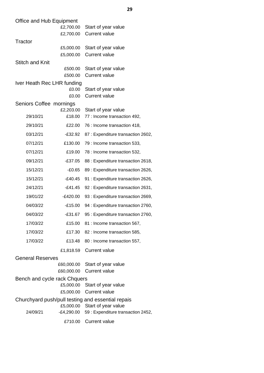| Office and Hub Equipment     |                        |                                                                          |
|------------------------------|------------------------|--------------------------------------------------------------------------|
|                              | £2,700.00              | Start of year value                                                      |
|                              | £2,700.00              | <b>Current value</b>                                                     |
| Tractor                      |                        |                                                                          |
|                              | £5,000.00              | Start of year value                                                      |
|                              | £5,000.00              | <b>Current value</b>                                                     |
| <b>Stitch and Knit</b>       |                        |                                                                          |
|                              | £500.00                | Start of year value                                                      |
|                              | £500.00                | <b>Current value</b>                                                     |
| Iver Heath Rec LHR funding   | £0.00                  | Start of year value                                                      |
|                              | £0.00                  | <b>Current value</b>                                                     |
| Seniors Coffee mornings      |                        |                                                                          |
|                              | £2,203.00              | Start of year value                                                      |
| 29/10/21                     | £18.00                 | 77 : Income transaction 492,                                             |
| 29/10/21                     | £22.00                 | 76 : Income transaction 418,                                             |
| 03/12/21                     | $-£32.92$              | 87 : Expenditure transaction 2602,                                       |
| 07/12/21                     | £130.00                | 79 : Income transaction 533,                                             |
| 07/12/21                     | £19.00                 | 78 : Income transaction 532,                                             |
| 09/12/21                     | $-£37.05$              | 88 : Expenditure transaction 2618,                                       |
| 15/12/21                     | $-£0.65$               | 89 : Expenditure transaction 2626,                                       |
| 15/12/21                     | $-£40.45$              | 91 : Expenditure transaction 2626,                                       |
| 24/12/21                     | $-£41.45$              | 92 : Expenditure transaction 2631,                                       |
| 19/01/22                     | $-E420.00$             | 93 : Expenditure transaction 2669,                                       |
| 04/03/22                     | $-£15.00$              | 94 : Expenditure transaction 2760,                                       |
| 04/03/22                     | $-£31.67$              | 95 : Expenditure transaction 2760,                                       |
| 17/03/22                     | £15.00                 | 81 : Income transaction 567,                                             |
| 17/03/22                     | £17.30                 | 82 : Income transaction 585,                                             |
| 17/03/22                     | £13.48                 | 80 : Income transaction 557,                                             |
|                              | £1,818.59              | <b>Current value</b>                                                     |
| <b>General Reserves</b>      |                        |                                                                          |
|                              | £60,000.00             | Start of year value                                                      |
|                              | £60,000.00             | <b>Current value</b>                                                     |
| Bench and cycle rack Chquers |                        |                                                                          |
|                              | £5,000.00<br>£5,000.00 | Start of year value<br><b>Current value</b>                              |
|                              |                        |                                                                          |
|                              | £5,000.00              | Churchyard push/pull testing and essential repais<br>Start of year value |
| 24/09/21                     | $-E4,290.00$           | 59 : Expenditure transaction 2452,                                       |
|                              | £710.00                | <b>Current value</b>                                                     |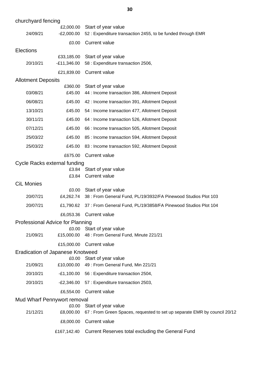| churchyard fencing        |                                           |                                                                                                  |
|---------------------------|-------------------------------------------|--------------------------------------------------------------------------------------------------|
| 24/09/21                  | £2,000.00<br>$-E2,000.00$                 | Start of year value<br>52 : Expenditure transaction 2455, to be funded through EMR               |
|                           | £0.00                                     | <b>Current value</b>                                                                             |
| <b>Elections</b>          |                                           |                                                                                                  |
| 20/10/21                  | £33,185.00<br>$-E11,346.00$               | Start of year value<br>58 : Expenditure transaction 2506,                                        |
|                           | £21,839.00                                | <b>Current value</b>                                                                             |
| <b>Allotment Deposits</b> |                                           |                                                                                                  |
| 03/08/21                  | £360.00<br>£45.00                         | Start of year value<br>44 : Income transaction 386, Allotment Deposit                            |
| 06/08/21                  | £45.00                                    | 42 : Income transaction 391, Allotment Deposit                                                   |
| 13/10/21                  | £45.00                                    | 54 : Income transaction 477, Allotment Deposit                                                   |
| 30/11/21                  | £45.00                                    | 64 : Income transaction 526, Allotment Deposit                                                   |
| 07/12/21                  | £45.00                                    | 66 : Income transaction 505, Allotment Deposit                                                   |
| 25/03/22                  | £45.00                                    | 85 : Income transaction 594, Allotment Deposit                                                   |
| 25/03/22                  | £45.00                                    | 83 : Income transaction 592, Allotment Deposit                                                   |
|                           | £675.00                                   | <b>Current value</b>                                                                             |
|                           | Cycle Racks external funding              |                                                                                                  |
|                           |                                           | £3.84 Start of year value                                                                        |
|                           | £3.84                                     | <b>Current value</b>                                                                             |
| <b>CiL Monies</b>         | £0.00                                     | Start of year value                                                                              |
| 20/07/21                  | £4,262.74                                 | 38 : From General Fund, PL/19/3932/FA Pinewood Studios Plot 103                                  |
| 20/07/21                  | £1,790.62                                 | 37 : From General Fund, PL/19/3858/FA Pinewood Studios Plot 104                                  |
|                           |                                           | £6,053.36 Current value                                                                          |
|                           | Professional Advice for Planning          |                                                                                                  |
| 21/09/21                  | £15,000.00                                | £0.00 Start of year value<br>48 : From General Fund, Minute 221/21                               |
|                           |                                           |                                                                                                  |
|                           |                                           | £15,000.00 Current value                                                                         |
|                           | Eradication of Japanese Knotweed<br>£0.00 | Start of year value                                                                              |
| 21/09/21                  | £10,000.00                                | 49 : From General Fund, Min 221/21                                                               |
| 20/10/21                  |                                           | -£1,100.00 56 : Expenditure transaction 2504,                                                    |
| 20/10/21                  | -£2,346.00                                | 57 : Expenditure transaction 2503,                                                               |
|                           | £6,554.00                                 | <b>Current value</b>                                                                             |
|                           | Mud Wharf Pennywort removal               |                                                                                                  |
| 21/12/21                  | £0.00<br>£8,000.00                        | Start of year value<br>67 : From Green Spaces, requested to set up separate EMR by council 20/12 |
|                           | £8,000.00                                 | <b>Current value</b>                                                                             |
|                           | £167,142.40                               | Current Reserves total excluding the General Fund                                                |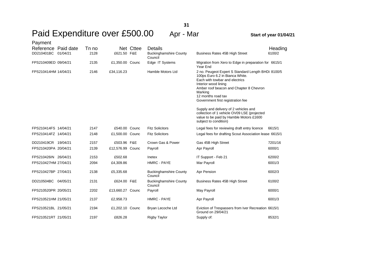| Payment              |       |                  |           |                                          |                                                                                                                                                                                                                                                                  |         |
|----------------------|-------|------------------|-----------|------------------------------------------|------------------------------------------------------------------------------------------------------------------------------------------------------------------------------------------------------------------------------------------------------------------|---------|
| Reference Paid date  | Tn no |                  | Net Cttee | <b>Details</b>                           |                                                                                                                                                                                                                                                                  | Heading |
| DD210401BC 01/04/21  | 2128  | £621.50 F&E      |           | <b>Buckinghamshire County</b><br>Council | Business Rates 45B High Street                                                                                                                                                                                                                                   | 6100/2  |
| FPS210409ED 09/04/21 | 2135  | £1,350.00 Counc  |           | Edge IT Systems                          | Migration from Xero to Edge in preparation for 6615/1<br>Year End                                                                                                                                                                                                |         |
| FPS210414HM 14/04/21 | 2146  | £34,116.23       |           | Hamble Motors Ltd                        | 2 no. Peugeot Expert S Standard Length BHDi 8100/5<br>100ps Euro 6.2 in Bianca White.<br>Each with towbar and electrics<br>Interior wood lining<br>Amber roof beacon and Chapter 8 Chevron<br>Marking<br>12 months road tax<br>Government first registration fee |         |
|                      |       |                  |           |                                          | Supply and delivery of 2 vehicles and<br>collection of 1 vehicle OV09 LSE (projected<br>value to be paid by Hamble Motors £1600<br>subject to condition)                                                                                                         |         |
| FPS210414FS 14/04/21 | 2147  | £540.00 Counc    |           | <b>Fitz Solicitors</b>                   | Legal fees for reviewing draft entry licence                                                                                                                                                                                                                     | 6615/1  |
| FPS210414FZ 14/04/21 | 2148  | £1,500.00 Counc  |           | <b>Fitz Solicitors</b>                   | Legal fees for drafting Scout Association lease 6615/1                                                                                                                                                                                                           |         |
| DD210419CR 19/04/21  | 2157  | £503.96 F&E      |           | Crown Gas & Power                        | Gas 45B High Street                                                                                                                                                                                                                                              | 7201/16 |
| FPS210420PA 20/04/21 | 2139  | £12,576.99 Counc |           | Payroll                                  | Apr Payroll                                                                                                                                                                                                                                                      | 6000/1  |
| FPS210426IN 26/04/21 | 2153  | £502.68          |           | Inetex                                   | IT Support - Feb 21                                                                                                                                                                                                                                              | 6200/2  |
| FPS210427HM 27/04/21 | 2094  | £4,309.86        |           | HMRC - PAYE                              | Mar Payroll                                                                                                                                                                                                                                                      | 6001/3  |
| FPS210427BP 27/04/21 | 2138  | £5,335.68        |           | <b>Buckinghamshire County</b><br>Council | Apr Pension                                                                                                                                                                                                                                                      | 6002/3  |
| DD210504BC 04/05/21  | 2131  | £624.00 F&E      |           | <b>Buckinghamshire County</b><br>Council | Business Rates 45B High Street                                                                                                                                                                                                                                   | 6100/2  |
| FPS210520PR 20/05/21 | 2202  | £13,660.27 Counc |           | Payroll                                  | May Payroll                                                                                                                                                                                                                                                      | 6000/1  |
| FPS210521HM 21/05/21 | 2137  | £2,958.73        |           | <b>HMRC - PAYE</b>                       | Apr Payroll                                                                                                                                                                                                                                                      | 6001/3  |
| FPS210521BL 21/05/21 | 2194  | £1,202.10 Counc  |           | Bryan Lecoche Ltd                        | Eviction of Trespassers from Iver Recreation 6615/1<br>Ground on 29/04/21                                                                                                                                                                                        |         |
| FPS210521RT 21/05/21 | 2197  | £826.28          |           | <b>Rigby Taylor</b>                      | Supply of:                                                                                                                                                                                                                                                       | 8532/1  |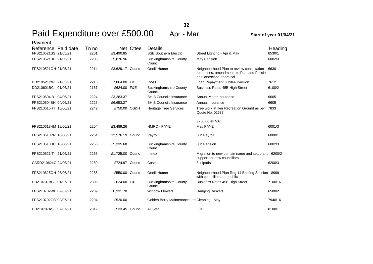| Payment              |       |                  |           |                                             |                                                                                                                    |         |
|----------------------|-------|------------------|-----------|---------------------------------------------|--------------------------------------------------------------------------------------------------------------------|---------|
| Reference Paid date  | Tn no |                  | Net Cttee | <b>Details</b>                              |                                                                                                                    | Heading |
| FPS210521SS 21/05/21 | 2201  | £3,490.85        |           | <b>SSE Southern Electric</b>                | Street Lighting - Apr & May                                                                                        | 8530/1  |
| FPS210521BP 21/05/21 | 2203  | £5,876.96        |           | <b>Buckinghamshire County</b><br>Council    | May Pension                                                                                                        | 6002/3  |
| FPS210521OH 21/05/21 | 2214  | £3.629.17 Counc  |           | Oneill Homer                                | Neighbourhood Plan to review consultation<br>responses, amendments to Plan and Policies<br>and landscape appraisal | 6630    |
| DD210521PW 21/05/21  | 2218  | £7.864.00 F&E    |           | <b>PWLB</b>                                 | Loan Repayment Jubilee Pavilion                                                                                    | 7612    |
| DD210601BC 01/06/21  | 2167  | £624.00 F&E      |           | <b>Buckinghamshire County</b><br>Council    | Business Rates 45B High Street                                                                                     | 6100/2  |
| FPS210604IB 04/06/21 | 2224  | £3,283.37        |           | <b>BHIB Councils Insurance</b>              | Annual Motor Insurance                                                                                             | 6605    |
| FPS210604BH 04/06/21 | 2225  | £6,653.27        |           | <b>BHIB Councils Insurance</b>              | Annual Insurance                                                                                                   | 6605    |
| FPS210615HT 15/06/21 | 2242  | £750.00 OS&H     |           | <b>Heritage Tree Services</b>               | Tree work at Iver Recreation Ground as per<br>Quote No: 02637                                                      | 7833    |
|                      |       |                  |           |                                             | £750.00 ex VAT                                                                                                     |         |
| FPS210618HM 18/06/21 | 2204  | £3,489.26        |           | HMRC - PAYE                                 | May PAYE                                                                                                           | 6001/3  |
| FPS210618PR 18/06/21 | 2254  | £12,576.19 Counc |           | Payroll                                     | Jun Payroll                                                                                                        | 6000/1  |
| FPS210618BC 18/06/21 | 2256  | £5,335.68        |           | <b>Buckinghamshire County</b><br>Council    | Jun Pension                                                                                                        | 6002/3  |
| FPS210621IT 21/06/21 | 2265  | £1,725.00 Counc  |           | Inetex                                      | Migration to new domain name and setup and 6200/2<br>support for new councillors                                   |         |
| CARD210624C 24/06/21 | 2280  | £724.97 Counc    |           | Costco                                      | 3 x ipads                                                                                                          | 6200/3  |
| FPS210625OH 25/06/21 | 2285  | £550.00 Counc    |           | Oneill Homer                                | Neighbourhood Plan Reg 14 Briefing Session 8999<br>with councillors and public                                     |         |
| DD210701BC 01/07/21  | 2305  | £624.00 F&E      |           | <b>Buckinghamshire County</b><br>Council    | Business Rates 45B High Street                                                                                     | 7100/16 |
| FPS210702WF 02/07/21 | 2289  | £6,331.70        |           | <b>Window Flowers</b>                       | <b>Hanging Baskets</b>                                                                                             | 6500/2  |
| FPS210702GB 02/07/21 | 2294  | £520.00          |           | Golden Berry Maintenance Ltd Cleaning - May |                                                                                                                    | 7940/16 |
| DD210707AS 07/07/21  | 2312  | £533.45 Counc    |           | All Star                                    | Fuel                                                                                                               | 8100/1  |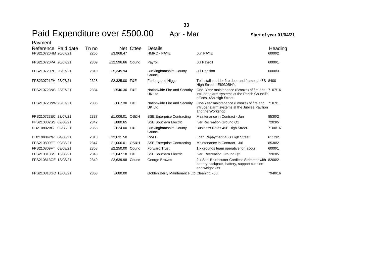| Payment<br>Reference Paid date |          | Tn no |                  | Net Cttee | Details                                     |                                                                                                                                  | Heading |
|--------------------------------|----------|-------|------------------|-----------|---------------------------------------------|----------------------------------------------------------------------------------------------------------------------------------|---------|
| FPS210720HM 20/07/21           |          | 2255  | £3,968.47        |           | <b>HMRC - PAYE</b>                          | Jun PAYE                                                                                                                         | 6000/2  |
| FPS210720PA 20/07/21           |          | 2309  | £12,596.66 Counc |           | Payroll                                     | Jul Payroll                                                                                                                      | 6000/1  |
| FPS210720PE 20/07/21           |          | 2310  | £5,345.94        |           | <b>Buckinghamshire County</b><br>Council    | Jul Pension                                                                                                                      | 6000/3  |
| FPS230721FH 23/07/21           |          | 2328  | £2,325.00 F&E    |           | Furlong and Higgs                           | To install corridor fire door and frame at 45B 8400<br>High Street - E6930BH/lo                                                  |         |
| FPS210723NS 23/07/21           |          | 2334  | £546.30 F&E      |           | Nationwide Fire and Security<br>UK Ltd      | One-Year maintenance (Bronze) of fire and 7107/16<br>intruder alarm systems at the Parish Council's<br>offices, 45b High Street. |         |
| FPS210723NW 23/07/21           |          | 2335  | £667.30 F&E      |           | Nationwide Fire and Security<br>UK Ltd      | One-Year maintenance (Bronze) of fire and 7107/1<br>intruder alarm systems at the Jubilee Pavilion<br>and the Workshop           |         |
| FPS210723EC 23/07/21           |          | 2337  | £1,006.01 OS&H   |           | <b>SSE Enterprise Contracting</b>           | Maintenance in Contract - Jun                                                                                                    | 8530/2  |
| PFS210802SS 02/08/21           |          | 2342  | £880.65          |           | <b>SSE Southern Electric</b>                | Iver Recreation Ground Q1                                                                                                        | 7203/5  |
| DD210802BC                     | 02/08/21 | 2363  | £624.00 F&E      |           | <b>Buckinghamshire County</b><br>Council    | Business Rates 45B High Street                                                                                                   | 7100/16 |
| DD210804PW                     | 04/08/21 | 2313  | £13,631.50       |           | <b>PWLB</b>                                 | Loan Repayment 45B High Street                                                                                                   | 6112/2  |
| FPS210809ET 09/08/21           |          | 2347  | £1,006.01        | OS&H      | <b>SSE Enterprise Contracting</b>           | Maintenance in Contract - Jul                                                                                                    | 8530/2  |
| FPS210809FT 09/08/21           |          | 2358  | £2,250.00 Counc  |           | <b>Forward Trust</b>                        | 1 x grounds team operative for labour                                                                                            | 6000/1  |
| FPS210813SS 13/08/21           |          | 2343  | £1,047.18 F&E    |           | <b>SSE Southern Electric</b>                | Iver Recreation Ground Q2                                                                                                        | 7203/5  |
| FPS210813GE 13/08/21           |          | 2349  | £2,639.98 Counc  |           | George Browns                               | 2 x Stihl Brushcutter Cordless Strimmer with 8200/2<br>battery backpack, battery, support cushion<br>and weight kits.            |         |
| FPS210813GO 13/08/21           |          | 2368  | £680.00          |           | Golden Berry Maintenance Ltd Cleaning - Jul |                                                                                                                                  | 7940/16 |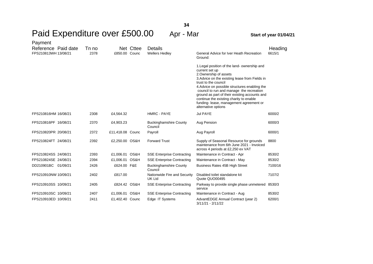| Payment<br>Reference Paid date | Tn no |                  | Net Cttee | Details                                       |                                                                                                                                                                                                                                                                                                                                                                                                                             | Heading |
|--------------------------------|-------|------------------|-----------|-----------------------------------------------|-----------------------------------------------------------------------------------------------------------------------------------------------------------------------------------------------------------------------------------------------------------------------------------------------------------------------------------------------------------------------------------------------------------------------------|---------|
| FPS210813WH 13/08/21           | 2378  | £850.00 Counc    |           | <b>Wellers Hedley</b>                         | General Advice for Iver Heath Recreation<br>Ground:                                                                                                                                                                                                                                                                                                                                                                         | 6615/1  |
|                                |       |                  |           |                                               | 1. Legal position of the land-ownership and<br>current set up<br>2. Ownership of assets<br>3. Advice on the existing lease from Fields in<br>trust to the council<br>4. Advice on possible structures enabling the<br>council to run and manage the recreation<br>ground as part of their existing accounts and<br>continue the existing charity to enable<br>funding-lease, management agreement or<br>alternative options |         |
| FPS210816HM 16/08/21           | 2308  | £4,564.32        |           | HMRC - PAYE                                   | Jul PAYE                                                                                                                                                                                                                                                                                                                                                                                                                    | 6000/2  |
| FPS210816PF 16/08/21           | 2370  | £4,903.23        |           | <b>Buckinghamshire County</b><br>Council      | Aug Pension                                                                                                                                                                                                                                                                                                                                                                                                                 | 6000/3  |
| FPS210820PR 20/08/21           | 2372  | £11,418.08 Counc |           | Payroll                                       | Aug Payroll                                                                                                                                                                                                                                                                                                                                                                                                                 | 6000/1  |
| FPS210824FT 24/08/21           | 2392  | £2,250.00 OS&H   |           | <b>Forward Trust</b>                          | Supply of Seasonal Resource for grounds<br>maintenance from 6th June 2021 - Invoiced<br>across 4 periods at £2,250 ex VAT                                                                                                                                                                                                                                                                                                   | 8800    |
| FPS210824SS 24/08/21           | 2393  | £1,006.01 OS&H   |           | <b>SSE Enterprise Contracting</b>             | Maintenance in Contract - Apr                                                                                                                                                                                                                                                                                                                                                                                               | 8530/2  |
| FPS210824SE 24/08/21           | 2394  | £1,006.01 OS&H   |           | <b>SSE Enterprise Contracting</b>             | Maintenance in Contract - May                                                                                                                                                                                                                                                                                                                                                                                               | 8530/2  |
| DD210901BC 01/09/21            | 2426  | £624.00 F&E      |           | <b>Buckinghamshire County</b><br>Council      | Business Rates 45B High Street                                                                                                                                                                                                                                                                                                                                                                                              | 7100/16 |
| FPS210910NW 10/09/21           | 2402  | £817.00          |           | Nationwide Fire and Security<br><b>UK Ltd</b> | Disabled toilet standalone kit<br>Quote QUO00495                                                                                                                                                                                                                                                                                                                                                                            | 7107/2  |
| FPS210910SS 10/09/21           | 2405  | £824.42 OS&H     |           | <b>SSE Enterprise Contracting</b>             | Parkway to provide single phase unmetered<br>service                                                                                                                                                                                                                                                                                                                                                                        | 8530/3  |
| FPS210910SC 10/09/21           | 2407  | £1,006.01 OS&H   |           | <b>SSE Enterprise Contracting</b>             | Maintenance in Contract - Aug                                                                                                                                                                                                                                                                                                                                                                                               | 8530/2  |
| FPS210910ED 10/09/21           | 2411  | £1,402.40 Counc  |           | Edge IT Systems                               | AdvantEDGE Annual Contract (year 2)<br>3/11/21 - 2/11/22                                                                                                                                                                                                                                                                                                                                                                    | 6200/1  |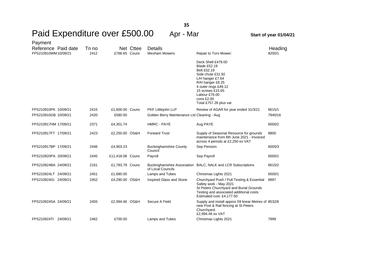| Payment<br>Reference Paid date<br>FPS210910WM10/09/21 | Tn no<br>2412 | £766.65 Counc    | Net Cttee | <b>Details</b><br><b>Wexham Mowers</b>      | Repair to Toro Mower:                                                                                                                                                                                                      | Heading<br>8200/1 |
|-------------------------------------------------------|---------------|------------------|-----------|---------------------------------------------|----------------------------------------------------------------------------------------------------------------------------------------------------------------------------------------------------------------------------|-------------------|
|                                                       |               |                  |           |                                             | Deck Shell £479.00<br><b>Blade £52.19</b><br>Belt £52.19<br>Side chute £31.92<br>L/H hanger £7.64<br>R/H hanger £8.25<br>4 outer rings £49.12<br>15 screws £15.65<br>Labour £76.00<br>cons £2.00<br>Total £757.26 plus vat |                   |
| FPS210910PK 10/09/21                                  | 2415          | £1,600.00 Counc  |           | PKF Littlejohn LLP                          | Review of AGAR for year ended 31/3/21                                                                                                                                                                                      | 6615/1            |
| FPS210910GB 10/09/21                                  | 2420          | £580.00          |           | Golden Berry Maintenance Ltd Cleaning - Aug |                                                                                                                                                                                                                            | 7940/16           |
| FPS210917HM 17/09/21                                  | 2371          | £4,351.74        |           | <b>HMRC - PAYE</b>                          | Aug PAYE                                                                                                                                                                                                                   | 6000/2            |
| FPS210917FT 17/09/21                                  | 2423          | £2,250.00 OS&H   |           | <b>Forward Trust</b>                        | Supply of Seasonal Resource for grounds<br>maintenance from 6th June 2021 - Invoiced<br>across 4 periods at £2,250 ex VAT                                                                                                  | 8800              |
| FPS210917BP 17/09/21                                  | 2446          | £4,903.23        |           | <b>Buckinghamshire County</b><br>Council    | Sep Pension                                                                                                                                                                                                                | 6000/3            |
| FPS210920PA 20/09/21                                  | 2445          | £11,418.08 Counc |           | Payroll                                     | Sep Payroll                                                                                                                                                                                                                | 6000/1            |
| FPS210924BA 24/09/21                                  | 2161          | £1,783.79 Counc  |           | of Local Councils                           | Buckinghamshire Association BALC, NALK and LCR Subscriptions                                                                                                                                                               | 6615/2            |
| FPS210924LT 24/09/21                                  | 2451          | £1,680.00        |           | Lamps and Tubes                             | Christmas Lights 2021                                                                                                                                                                                                      | 6500/1            |
| FPS210924IG 24/09/21                                  | 2452          | £4,290.00 OS&H   |           | Inspired Glass and Stone                    | Churchyard Push / Pull Testing & Essential<br>Safety work - May 2021<br>St Peters Churchyard and Burial Grounds<br>Testing and associated additional costs<br>Estimated cost: £4,177.50                                    | 8997              |
| FPS210924SA 24/09/21                                  | 2455          | £2,994.46 OS&H   |           | Secure A Field                              | Supply and install approx 59 linear Metres of 8532/6<br>new Post & Rail fencing at St Peters<br>Churchyard.<br>£2,994.46 ex VAT                                                                                            |                   |
| FPS210924TI 24/09/21                                  | 2462          | £700.00          |           | Lamps and Tubes                             | Christmas Lights 2021                                                                                                                                                                                                      | 7999              |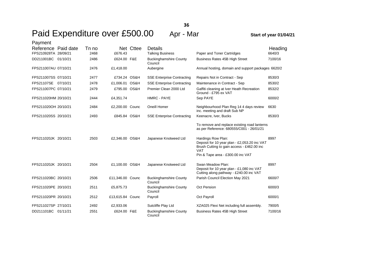| Payment              |       |                  |           |                                          |                                                                                                                                                                     |         |
|----------------------|-------|------------------|-----------|------------------------------------------|---------------------------------------------------------------------------------------------------------------------------------------------------------------------|---------|
| Reference Paid date  | Tn no |                  | Net Cttee | <b>Details</b>                           |                                                                                                                                                                     | Heading |
| FPS210928TA 28/09/21 | 2468  | £676.43          |           | <b>Talking Business</b>                  | Paper and Toner Cartridges                                                                                                                                          | 6640/3  |
| DD211001BC 01/10/21  | 2486  | £624.00 F&E      |           | <b>Buckinghamshire County</b><br>Council | <b>Business Rates 45B High Street</b>                                                                                                                               | 7100/16 |
| FPS211007AU 07/10/21 | 2476  | £1,418.00        |           | Aubergine                                | Annual hosting, domain and support packages 6620/2                                                                                                                  |         |
| FPS211007SS 07/10/21 | 2477  | £734.24 OS&H     |           | <b>SSE Enterprise Contracting</b>        | Repairs Not in Contract - Sep                                                                                                                                       | 8530/3  |
| FPS21107SE 07/10/21  | 2478  | £1,006.01 OS&H   |           | <b>SSE Enterprise Contracting</b>        | Maintenance in Contract - Sep                                                                                                                                       | 8530/2  |
| FPS211007PC 07/10/21 | 2479  | £795.00 OS&H     |           | Premier Clean 2000 Ltd                   | Gaffiti cleaning at Iver Heath Recreation<br>Ground - £795 ex VAT                                                                                                   | 8532/2  |
| FPS211020HM 20/10/21 | 2444  | £4,351.74        |           | HMRC - PAYE                              | Sep PAYE                                                                                                                                                            | 6000/2  |
| FPS211020OH 20/10/21 | 2484  | £2,200.00 Counc  |           | Oneill Homer                             | Neighbourhood Plan Reg 14 4 days review<br>inc. meeting and draft Sub NP                                                                                            | 6630    |
| FPS211020SS 20/10/21 | 2493  | £845.84 OS&H     |           | <b>SSE Enterprise Contracting</b>        | Keenacre, Iver, Bucks                                                                                                                                               | 8530/3  |
|                      |       |                  |           |                                          | To remove and replace existing road lanterns<br>as per Reference: 680555/C001 - 26/01/21                                                                            |         |
| FPS211020JK 20/10/21 | 2503  | £2,346.00 OS&H   |           | Japanese Knotweed Ltd                    | Hardings Row Plan:<br>Deposit for 10 year plan - £2,053.20 inc VAT<br>Brush Cutting to gain access - £462.00 inc<br><b>VAT</b><br>Pin & Tape area - £300.00 inc VAT | 8997    |
| FPS211020JK 20/10/21 | 2504  | £1,100.00 OS&H   |           | Japanese Knotweed Ltd                    | Swan Meadow Plan:<br>Deposit for 10 year plan - £1,080 inc VAT<br>Cutting along pathway - £240.00 inc VAT                                                           | 8997    |
| FPS211020BC 20/10/21 | 2506  | £11,346.00 Counc |           | <b>Buckinghamshire County</b><br>Council | Parish Council Election May 2021                                                                                                                                    | 6600/7  |
| FPS211020PE 20/10/21 | 2511  | £5,875.73        |           | <b>Buckinghamshire County</b><br>Council | <b>Oct Pension</b>                                                                                                                                                  | 6000/3  |
| FPS211020PR 20/10/21 | 2512  | £13,615.84 Counc |           | Payroll                                  | Oct Payroll                                                                                                                                                         | 6000/1  |
| FPS211027SP 27/10/21 | 2492  | £2,933.06        |           | Sutcliffe Play Ltd                       | XZA025 Flexi Net including full assembly.                                                                                                                           | 7900/5  |
| DD211101BC 01/11/21  | 2551  | £624.00 F&E      |           | <b>Buckinghamshire County</b><br>Council | Business Rates 45B High Street                                                                                                                                      | 7100/16 |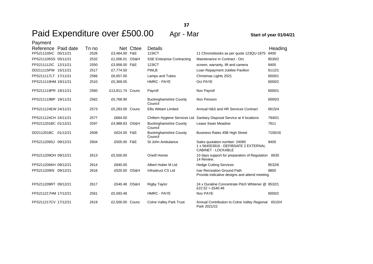| Payment              |       |                  |           |                                          |                                                                                             |         |
|----------------------|-------|------------------|-----------|------------------------------------------|---------------------------------------------------------------------------------------------|---------|
| Reference Paid date  | Tn no |                  | Net Cttee | Details                                  |                                                                                             | Heading |
| FPS211105IC 05/11/21 | 2526  | £3,464.00 F&E    |           | <b>123ICT</b>                            | 11 Chromebooks as per quote 123QU-1875                                                      | 8400    |
| FPS211105SS 05/11/21 | 2532  | £1,006.01 OS&H   |           | <b>SSE Enterprise Contracting</b>        | Maintenance in Contract - Oct                                                               | 8530/2  |
| FPS211112IC 12/11/21 | 2550  | £3,958.00 F&E    |           | <b>123ICT</b>                            | screen, warranty, lift and camera                                                           | 8400    |
| DD211115PW 15/11/21  | 2517  | £7,774.50        |           | <b>PWLB</b>                              | Loan Repayment Jubilee Pavilion                                                             | 6112/1  |
| FPS211117LT 17/11/21 | 2566  | £6,657.00        |           | Lamps and Tubes                          | Christmas Lights 2021                                                                       | 6500/1  |
| FPS211119HM 19/11/21 | 2510  | £5,369.05        |           | <b>HMRC - PAYE</b>                       | Oct PAYE                                                                                    | 6000/2  |
| FPS211119PR 19/11/21 | 2560  | £13,811.74 Counc |           | Payroll                                  | Nov Payroll                                                                                 | 6000/1  |
| FPS211119BP 19/11/21 | 2562  | £5,768.90        |           | <b>Buckinghamshire County</b><br>Council | Nov Pension                                                                                 | 6000/3  |
| FPS211124EW 24/11/21 | 2573  | £5,283.00 Counc  |           | <b>Ellis Wittam Limited</b>              | Annual H&S and HR Services Contract                                                         | 6615/4  |
| FPS211124CH 24/11/21 | 2577  | £664.00          |           | Chiltern Hygiene Services Ltd            | Sanitary Disposal Service at 4 locations                                                    | 7940/1  |
| FPS211201BC 01/12/21 | 2597  | £4,988.83 OS&H   |           | <b>Buckinghamshire County</b><br>Council | Lease Swan Meadow                                                                           | 7911    |
| DD211201BC 01/12/21  | 2608  | £624.00 F&E      |           | <b>Buckinghamshire County</b><br>Council | Business Rates 45B High Street                                                              | 7100/16 |
| FPS211209SJ 09/12/21 | 2604  | £505.00 F&E      |           | St John Ambulance                        | Sales quotation number: 24060<br>1 x 564553916 - DEFIBSAFE 2 EXTERNAL<br>CABINET - LOCKABLE | 8400    |
| FPS211209OH 09/12/21 | 2613  | £5,500.00        |           | Oneill Homer                             | 10 days support for preparation of Regulation<br>14 Review.                                 | 6630    |
| FPS211209AH 09/12/21 | 2614  | £840.00          |           | Albert Huber M Ltd                       | <b>Hedge Cutting Services</b>                                                               | 8532/6  |
| FPS211209IN 09/12/21 | 2616  | £520.00 OS&H     |           | Infrastruct CS Ltd                       | Iver Recreation Ground Path<br>Provide indicative designs and attend meeting                | 8800    |
| FPS211209RT 09/12/21 | 2617  | £540.48 OS&H     |           | <b>Rigby Taylor</b>                      | 24 x Duraline Concentrate Pitch Whitener @ 8532/1<br>£22.52 = £540.48                       |         |
| FPS211217HM 17/12/21 | 2561  | £5,593.48        |           | <b>HMRC - PAYE</b>                       | Nov PAYE                                                                                    | 6000/2  |
| FPS211217CV 17/12/21 | 2619  | £2,500.00 Counc  |           | <b>Colne Valley Park Trust</b>           | Annual Contribution to Colne Valley Regional<br>Park 2021/22                                | 6510/4  |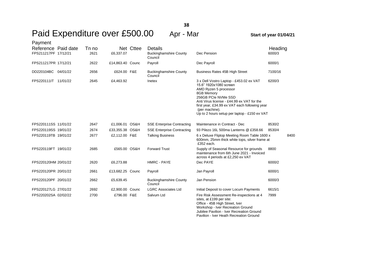## Paid Expenditure over £500.00 Apr - Mar **Start of year 01/04/21**

Pavilion - Iver Heath Recreation Ground

| Payment              |       |                  |           |                                          |                                                                                                                                                                                                                                                                                                  |         |
|----------------------|-------|------------------|-----------|------------------------------------------|--------------------------------------------------------------------------------------------------------------------------------------------------------------------------------------------------------------------------------------------------------------------------------------------------|---------|
| Reference Paid date  | Tn no |                  | Net Cttee | Details                                  |                                                                                                                                                                                                                                                                                                  | Heading |
| FPS211217PF 17/12/21 | 2621  | £6,337.07        |           | <b>Buckinghamshire County</b><br>Council | Dec Pension                                                                                                                                                                                                                                                                                      | 6000/3  |
| FPS211217PR 17/12/21 | 2622  | £14,863.40 Counc |           | Payroll                                  | Dec Payroll                                                                                                                                                                                                                                                                                      | 6000/1  |
| DD220104BC 04/01/22  | 2656  | £624.00 F&E      |           | <b>Buckinghamshire County</b><br>Council | Business Rates 45B High Street                                                                                                                                                                                                                                                                   | 7100/16 |
| FPS220111IT 11/01/22 | 2645  | £4,463.92        |           | Inetex                                   | 3 x Dell Vostro Laptop - £453.02 ex VAT<br>15.6" 1920x1080 screen<br>AMD Ryzen 5 processor<br>8GB Memory<br>256GB PCIe NVMe SSD<br>Anti Virus license - £44.99 ex VAT for the<br>first year, £34.99 ex VAT each following year<br>(per machine).<br>Up to 2 hours setup per laptop - £150 ex VAT | 6200/3  |
| FPS220111SS 11/01/22 | 2647  | £1,006.01 OS&H   |           | <b>SSE Enterprise Contracting</b>        | Maintenance in Contract - Dec                                                                                                                                                                                                                                                                    | 8530/2  |
| FPS220119SS 19/01/22 | 2674  | £33,355.38 OS&H  |           | <b>SSE Enterprise Contracting</b>        | 93 Pilezo 16L 500ma Lanterns @ £358.66                                                                                                                                                                                                                                                           | 8530/4  |
| FPS220119TB 19/01/22 | 2677  | £2,112.00 F&E    |           | <b>Talking Business</b>                  | 6 x Deluxe Fliptop Meeting Room Table 1600 x<br>600mm, 25mm thick white tops, silver frame at<br>£352 each.                                                                                                                                                                                      | 8400    |
| FPS220119FT 19/01/22 | 2685  | £565.00 OS&H     |           | <b>Forward Trust</b>                     | Supply of Seasonal Resource for grounds<br>maintenance from 6th June 2021 - Invoiced<br>across 4 periods at £2,250 ex VAT                                                                                                                                                                        | 8800    |
| FPS220120HM 20/01/22 | 2620  | £6,273.88        |           | HMRC - PAYE                              | Dec PAYE                                                                                                                                                                                                                                                                                         | 6000/2  |
| FPS220120PR 20/01/22 | 2661  | £13,682.25 Counc |           | Payroll                                  | Jan Payroll                                                                                                                                                                                                                                                                                      | 6000/1  |
| FPS220120PF 20/01/22 | 2662  | £5,639.45        |           | <b>Buckinghamshire County</b><br>Council | Jan Pension                                                                                                                                                                                                                                                                                      | 6000/3  |
| FPS220127LG 27/01/22 | 2692  | £2,900.00 Counc  |           | <b>LGRC Associates Ltd</b>               | Initial Deposit to cover Locum Payments                                                                                                                                                                                                                                                          | 6615/1  |
| FPS220202SA 02/02/22 | 2700  | £796.00 F&E      |           | Salvum Ltd                               | Fire Risk Assessment Re-inspections at 4<br>sites, at £199 per site:<br>Office - 45B High Street, Iver<br>Workshop - Iver Recreation Ground<br>Jubilee Pavilion - Iver Recreation Ground                                                                                                         | 7999    |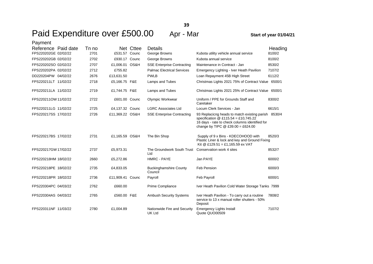**39**

| Payment              |       |                  |           |                                               |                                                                                                                                                                                     |         |
|----------------------|-------|------------------|-----------|-----------------------------------------------|-------------------------------------------------------------------------------------------------------------------------------------------------------------------------------------|---------|
| Reference Paid date  | Tn no |                  | Net Cttee | <b>Details</b>                                |                                                                                                                                                                                     | Heading |
| FPS220202GE 02/02/22 | 2701  | £531.57 Counc    |           | George Browns                                 | Kubota utility vehicle annual service                                                                                                                                               | 8100/2  |
| FPS220202GB 02/02/22 | 2702  | £930.17 Counc    |           | George Browns                                 | Kubota annual service                                                                                                                                                               | 8100/2  |
| FPS220202SO 02/02/22 | 2707  | £1,006.01 OS&H   |           | <b>SSE Enterprise Contracting</b>             | Maintenance in Contract - Jan                                                                                                                                                       | 8530/2  |
| FPS220202PA 02/02/22 | 2712  | £755.82          |           | <b>Palmac Electrical Services</b>             | Emergency Lighting - Iver Heath Pavilion                                                                                                                                            | 7107/2  |
| DD220204PW 04/02/22  | 2676  | £13,631.50       |           | <b>PWLB</b>                                   | Loan Repayment 45B High Street                                                                                                                                                      | 6112/2  |
| FPS220211LT 11/02/22 | 2718  | £5,166.75 F&E    |           | Lamps and Tubes                               | Christmas Lights 2021 75% of Contract Value 6500/1                                                                                                                                  |         |
| FPS220211LA 11/02/22 | 2719  | £1,744.75 F&E    |           | Lamps and Tubes                               | Christmas Lights 2021 25% of Contract Value 6500/1                                                                                                                                  |         |
| FPS220211OW 11/02/22 | 2722  | £601.00 Counc    |           | Olympic Workwear                              | Uniform / PPE for Grounds Staff and<br>Caretaker                                                                                                                                    | 8300/2  |
| FPS220211LG 11/02/22 | 2725  | £4,137.32 Counc  |           | <b>LGRC Associates Ltd</b>                    | Locum Clerk Services - Jan                                                                                                                                                          | 6615/1  |
| FPS220217SS 17/02/22 | 2726  | £11,369.22 OS&H  |           | <b>SSE Enterprise Contracting</b>             | 93 Replaciong heads to match existing parish 8530/4<br>specification @ £115.54 = £10,745.22<br>16 days - rate to check columns identified for<br>change by TIPC $@E39.00 = £624.00$ |         |
| FPS220217BS 17/02/22 | 2731  | £1,165.59 OS&H   |           | The Bin Shop                                  | Supply of 9 x Bins - KDECOHOOD with<br>Plastic Liner & lock and key and Ground Fixing<br>Kit @ £129.51 = £1,165.59 ex VAT                                                           | 8520/3  |
| FPS220217GW 17/02/22 | 2737  | £5,973.31        |           | The Groundwork South Trust<br>Ltd             | Conservation work 4 sites                                                                                                                                                           | 8532/7  |
| FPS220218HM 18/02/22 | 2660  | £5,272.86        |           | HMRC - PAYE                                   | Jan PAYE                                                                                                                                                                            | 6000/2  |
| FPS220218PE 18/02/22 | 2735  | £4,833.05        |           | <b>Buckinghamshire County</b><br>Council      | Feb Pension                                                                                                                                                                         | 6000/3  |
| FPS220218PR 18/02/22 | 2736  | £11,909.41 Counc |           | Payroll                                       | Feb Payroll                                                                                                                                                                         | 6000/1  |
| FPS220304PC 04/03/22 | 2762  | £660.00          |           | Prime Compliance                              | Iver Heath Pavilion Cold Water Storage Tanks 7999                                                                                                                                   |         |
| FPS220304AS 04/03/22 | 2765  | £560.00 F&E      |           | <b>Ambush Security Systems</b>                | Iver Heath Pavilion - To carry out a routine<br>service to 13 x manual roller shutters - 50%<br>Deposit                                                                             | 7808/2  |
| FPS220311NF 11/03/22 | 2780  | £1,004.89        |           | Nationwide Fire and Security<br><b>UK Ltd</b> | <b>Emergency Lights Install</b><br>Quote QUO00509                                                                                                                                   | 7107/2  |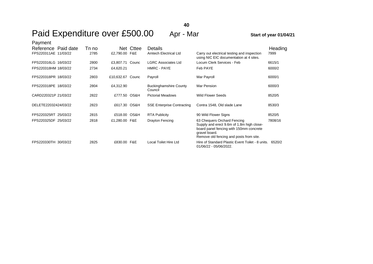| Payment              |       |                  |           |                                          |                                                                                                                                                                                 |         |
|----------------------|-------|------------------|-----------|------------------------------------------|---------------------------------------------------------------------------------------------------------------------------------------------------------------------------------|---------|
| Reference Paid date  | Tn no |                  | Net Cttee | Details                                  |                                                                                                                                                                                 | Heading |
| FPS220311AE 11/03/22 | 2785  | £2,790.00 F&E    |           | Amtech Electrical Ltd                    | Carry out electrical testing and inspection<br>using NIC EIC documentation at 4 sites.                                                                                          | 7999    |
| FPS220316LG 16/03/22 | 2800  | £3,807.71 Counc  |           | <b>LGRC Associates Ltd</b>               | Locum Clerk Services - Feb                                                                                                                                                      | 6615/1  |
| FPS220318HM 18/03/22 | 2734  | £4,620.21        |           | HMRC - PAYE                              | Feb PAYE                                                                                                                                                                        | 6000/2  |
| FPS220318PR 18/03/22 | 2803  | £10,632.67 Counc |           | Payroll                                  | Mar Payroll                                                                                                                                                                     | 6000/1  |
| FPS220318PE 18/03/22 | 2804  | £4,312.90        |           | <b>Buckinghamshire County</b><br>Council | Mar Pension                                                                                                                                                                     | 6000/3  |
| CARD220321P 21/03/22 | 2822  | £777.50 OS&H     |           | <b>Pictorial Meadows</b>                 | <b>Wild Flower Seeds</b>                                                                                                                                                        | 8520/5  |
| DELETE22032424/03/22 | 2823  | £617.30 OS&H     |           | <b>SSE Enterprise Contracting</b>        | Contra 1548, Old slade Lane                                                                                                                                                     | 8530/3  |
| FPS220325RT 25/03/22 | 2815  | £518.00 OS&H     |           | <b>RTA Publicity</b>                     | 90 Wild Flower Signs                                                                                                                                                            | 8520/5  |
| FPS220325DF 25/03/22 | 2818  | £1,280.00 F&E    |           | <b>Drayton Fencing</b>                   | 63 Chequers Orchard Fencing<br>Supply and erect 9.6m of 1.8m high close-<br>board panel fencing with 150mm concrete<br>gravel board.<br>Remove old fencing and posts from site. | 7808/16 |
| FPS220330TH 30/03/22 | 2825  | £830.00 F&E      |           | Local Toilet Hire Ltd                    | Hire of Standard Plastic Event Toilet - 8 units.<br>01/06/22 - 05/06/2022.                                                                                                      | 6520/2  |